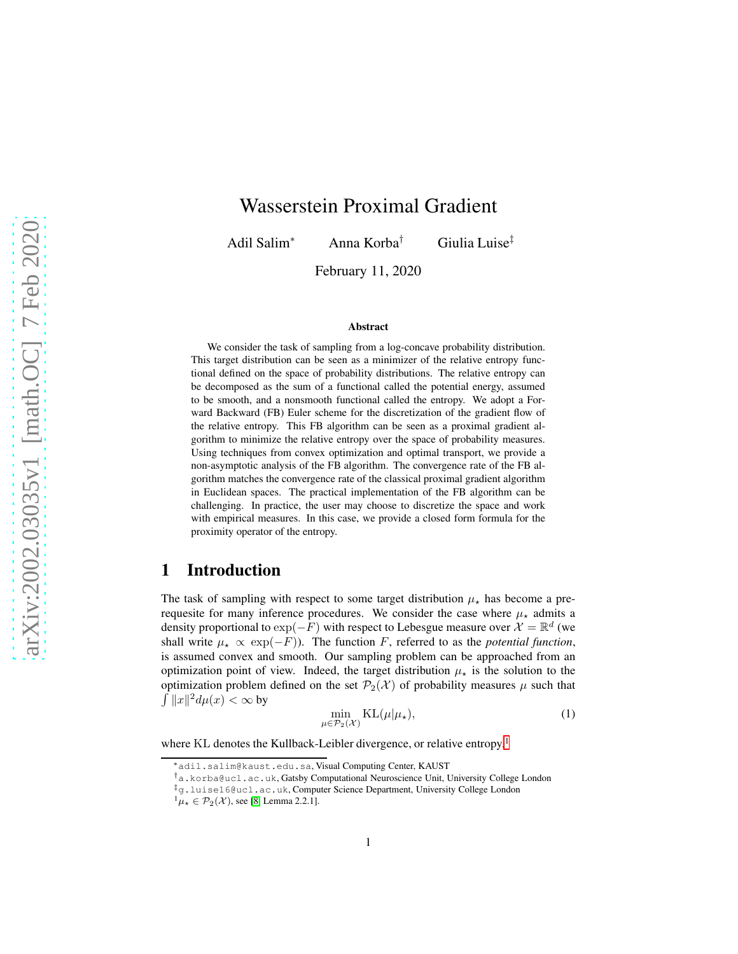# Wasserstein Proximal Gradient

Adil Salim<sup>∗</sup> Anna Korba† Giulia Luise‡

February 11, 2020

#### Abstract

We consider the task of sampling from a log-concave probability distribution. This target distribution can be seen as a minimizer of the relative entropy functional defined on the space of probability distributions. The relative entropy can be decomposed as the sum of a functional called the potential energy, assumed to be smooth, and a nonsmooth functional called the entropy. We adopt a Forward Backward (FB) Euler scheme for the discretization of the gradient flow of the relative entropy. This FB algorithm can be seen as a proximal gradient algorithm to minimize the relative entropy over the space of probability measures. Using techniques from convex optimization and optimal transport, we provide a non-asymptotic analysis of the FB algorithm. The convergence rate of the FB algorithm matches the convergence rate of the classical proximal gradient algorithm in Euclidean spaces. The practical implementation of the FB algorithm can be challenging. In practice, the user may choose to discretize the space and work with empirical measures. In this case, we provide a closed form formula for the proximity operator of the entropy.

### 1 Introduction

The task of sampling with respect to some target distribution  $\mu_{\star}$  has become a prerequesite for many inference procedures. We consider the case where  $\mu_{\star}$  admits a density proportional to  $\exp(-F)$  with respect to Lebesgue measure over  $\mathcal{X} = \mathbb{R}^d$  (we shall write  $\mu_{\star} \propto \exp(-F)$ ). The function F, referred to as the *potential function*, is assumed convex and smooth. Our sampling problem can be approached from an optimization point of view. Indeed, the target distribution  $\mu_{\star}$  is the solution to the optimization problem defined on the set  $\mathcal{P}_2(\mathcal{X})$  of probability measures  $\mu$  such that  $\int ||x||^2 d\mu(x) < \infty$  by

<span id="page-0-1"></span>
$$
\min_{\mu \in \mathcal{P}_2(\mathcal{X})} \mathrm{KL}(\mu | \mu_\star),\tag{1}
$$

where KL denotes the Kullback-Leibler divergence, or relative entropy.<sup>[1](#page-0-0)</sup>

<sup>∗</sup>adil.salim@kaust.edu.sa, Visual Computing Center, KAUST

<sup>†</sup>a.korba@ucl.ac.uk, Gatsby Computational Neuroscience Unit, University College London

<sup>‡</sup>g.luise16@ucl.ac.uk, Computer Science Department, University College London

<span id="page-0-0"></span> $^{1}\mu_{\star} \in \mathcal{P}_{2}(\mathcal{X})$ , see [\[8,](#page-12-0) Lemma 2.2.1].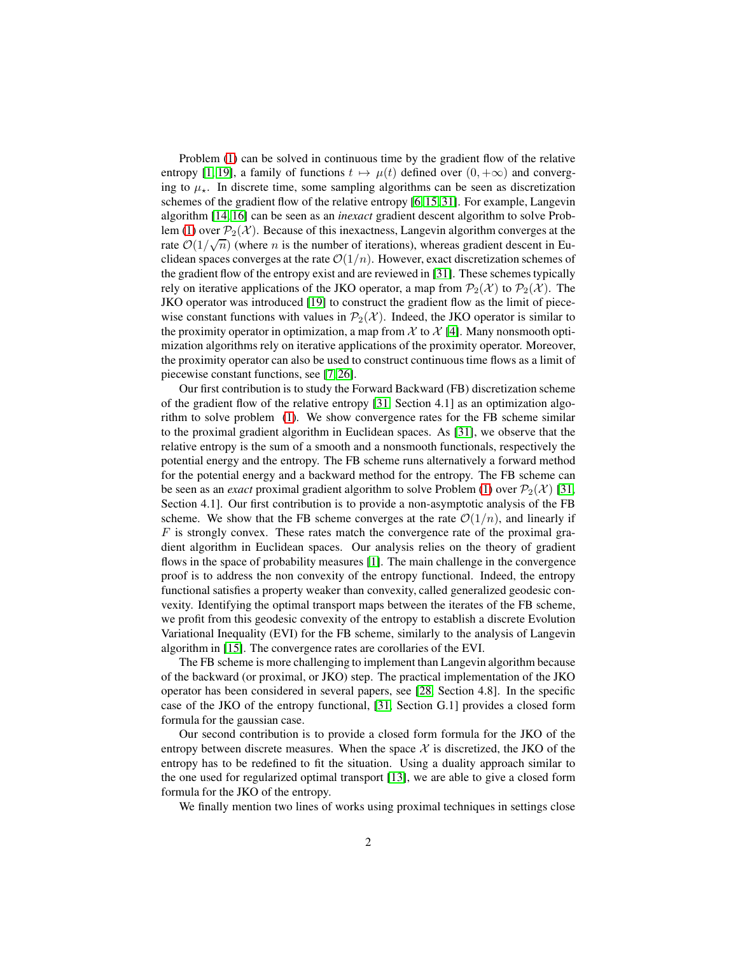Problem [\(1\)](#page-0-1) can be solved in continuous time by the gradient flow of the relative entropy [\[1,](#page-12-1) [19\]](#page-13-0), a family of functions  $t \mapsto \mu(t)$  defined over  $(0, +\infty)$  and converging to  $\mu_{\star}$ . In discrete time, some sampling algorithms can be seen as discretization schemes of the gradient flow of the relative entropy [\[6,](#page-12-2) [15,](#page-13-1) [31\]](#page-14-0). For example, Langevin algorithm [\[14,](#page-13-2) [16\]](#page-13-3) can be seen as an *inexact* gradient descent algorithm to solve Prob-lem [\(1\)](#page-0-1) over  $\mathcal{P}_2(\mathcal{X})$ . Because of this inexactness, Langevin algorithm converges at the rate  $\mathcal{O}(1/\sqrt{n})$  (where *n* is the number of iterations), whereas gradient descent in Euclidean spaces converges at the rate  $\mathcal{O}(1/n)$ . However, exact discretization schemes of the gradient flow of the entropy exist and are reviewed in [\[31\]](#page-14-0). These schemes typically rely on iterative applications of the JKO operator, a map from  $\mathcal{P}_2(\mathcal{X})$  to  $\mathcal{P}_2(\mathcal{X})$ . The JKO operator was introduced [\[19\]](#page-13-0) to construct the gradient flow as the limit of piecewise constant functions with values in  $\mathcal{P}_2(\mathcal{X})$ . Indeed, the JKO operator is similar to the proximity operator in optimization, a map from  $\mathcal X$  to  $\mathcal X$  [\[4\]](#page-12-3). Many nonsmooth optimization algorithms rely on iterative applications of the proximity operator. Moreover, the proximity operator can also be used to construct continuous time flows as a limit of piecewise constant functions, see [7[, 26\]](#page-13-4).

Our first contribution is to study the Forward Backward (FB) discretization scheme of the gradient flow of the relative entropy [\[31,](#page-14-0) Section 4.1] as an optimization algorithm to solve problem [\(1\)](#page-0-1). We show convergence rates for the FB scheme similar to the proximal gradient algorithm in Euclidean spaces. As [\[31\]](#page-14-0), we observe that the relative entropy is the sum of a smooth and a nonsmooth functionals, respectively the potential energy and the entropy. The FB scheme runs alternatively a forward method for the potential energy and a backward method for the entropy. The FB scheme can be seen as an *exact* proximal gradient algorithm to solve Problem [\(1\)](#page-0-1) over  $P_2(\mathcal{X})$  [\[31,](#page-14-0) Section 4.1]. Our first contribution is to provide a non-asymptotic analysis of the FB scheme. We show that the FB scheme converges at the rate  $\mathcal{O}(1/n)$ , and linearly if  $F$  is strongly convex. These rates match the convergence rate of the proximal gradient algorithm in Euclidean spaces. Our analysis relies on the theory of gradient flows in the space of probability measures [\[1\]](#page-12-1). The main challenge in the convergence proof is to address the non convexity of the entropy functional. Indeed, the entropy functional satisfies a property weaker than convexity, called generalized geodesic convexity. Identifying the optimal transport maps between the iterates of the FB scheme, we profit from this geodesic convexity of the entropy to establish a discrete Evolution Variational Inequality (EVI) for the FB scheme, similarly to the analysis of Langevin algorithm in [\[15\]](#page-13-1). The convergence rates are corollaries of the EVI.

The FB scheme is more challenging to implement than Langevin algorithm because of the backward (or proximal, or JKO) step. The practical implementation of the JKO operator has been considered in several papers, see [\[28,](#page-14-1) Section 4.8]. In the specific case of the JKO of the entropy functional, [\[31,](#page-14-0) Section G.1] provides a closed form formula for the gaussian case.

Our second contribution is to provide a closed form formula for the JKO of the entropy between discrete measures. When the space  $X$  is discretized, the JKO of the entropy has to be redefined to fit the situation. Using a duality approach similar to the one used for regularized optimal transport [\[13\]](#page-12-4), we are able to give a closed form formula for the JKO of the entropy.

We finally mention two lines of works using proximal techniques in settings close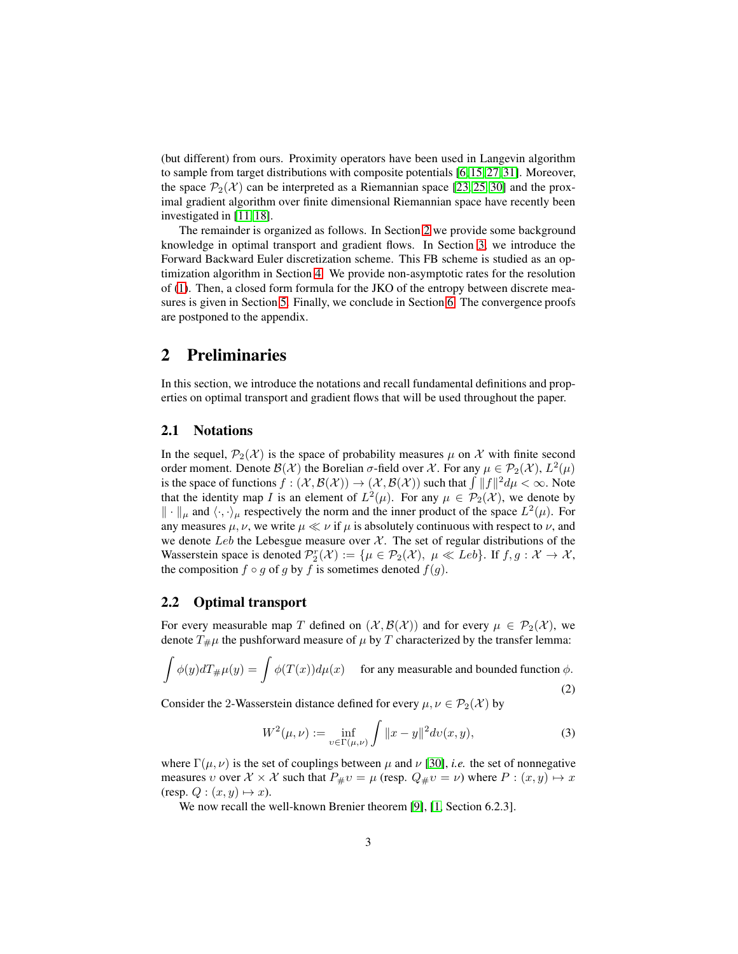(but different) from ours. Proximity operators have been used in Langevin algorithm to sample from target distributions with composite potentials [\[6,](#page-12-2) [15,](#page-13-1) [27,](#page-13-5) [31\]](#page-14-0). Moreover, the space  $\mathcal{P}_2(\mathcal{X})$  can be interpreted as a Riemannian space [\[23,](#page-13-6) [25,](#page-13-7) [30\]](#page-14-2) and the proximal gradient algorithm over finite dimensional Riemannian space have recently been investigated in [\[11,](#page-12-5) [18\]](#page-13-8).

The remainder is organized as follows. In Section [2](#page-2-0) we provide some background knowledge in optimal transport and gradient flows. In Section [3,](#page-6-0) we introduce the Forward Backward Euler discretization scheme. This FB scheme is studied as an optimization algorithm in Section [4.](#page-7-0) We provide non-asymptotic rates for the resolution of [\(1\)](#page-0-1). Then, a closed form formula for the JKO of the entropy between discrete measures is given in Section [5.](#page-10-0) Finally, we conclude in Section [6.](#page-11-0) The convergence proofs are postponed to the appendix.

### <span id="page-2-0"></span>2 Preliminaries

In this section, we introduce the notations and recall fundamental definitions and properties on optimal transport and gradient flows that will be used throughout the paper.

#### 2.1 Notations

In the sequel,  $\mathcal{P}_2(\mathcal{X})$  is the space of probability measures  $\mu$  on X with finite second order moment. Denote  $\mathcal{B}(\mathcal{X})$  the Borelian  $\sigma$ -field over  $\mathcal{X}$ . For any  $\mu \in \mathcal{P}_2(\mathcal{X})$ ,  $L^2(\mu)$ is the space of functions  $f: (\mathcal{X}, \mathcal{B}(\mathcal{X})) \to (\mathcal{X}, \mathcal{B}(\mathcal{X}))$  such that  $\int ||f||^2 d\mu < \infty$ . Note that the identity map I is an element of  $L^2(\mu)$ . For any  $\mu \in \mathcal{P}_2(\mathcal{X})$ , we denote by  $\|\cdot\|_{\mu}$  and  $\langle \cdot, \cdot \rangle_{\mu}$  respectively the norm and the inner product of the space  $L^2(\mu)$ . For any measures  $\mu$ ,  $\nu$ , we write  $\mu \ll \nu$  if  $\mu$  is absolutely continuous with respect to  $\nu$ , and we denote Leb the Lebesgue measure over  $\mathcal{X}$ . The set of regular distributions of the Wasserstein space is denoted  $\mathcal{P}_2^r(\mathcal{X}) := \{ \mu \in \mathcal{P}_2(\mathcal{X}), \mu \ll Leb \}.$  If  $f, g : \mathcal{X} \to \mathcal{X},$ the composition  $f \circ g$  of g by f is sometimes denoted  $f(g)$ .

#### <span id="page-2-3"></span>2.2 Optimal transport

For every measurable map T defined on  $(\mathcal{X}, \mathcal{B}(\mathcal{X}))$  and for every  $\mu \in \mathcal{P}_2(\mathcal{X})$ , we denote  $T_{\#}\mu$  the pushforward measure of  $\mu$  by T characterized by the transfer lemma:

$$
\int \phi(y)dT_{\#}\mu(y) = \int \phi(T(x))d\mu(x) \quad \text{ for any measurable and bounded function } \phi.
$$
\n(2)

Consider the 2-Wasserstein distance defined for every  $\mu, \nu \in \mathcal{P}_2(\mathcal{X})$  by

<span id="page-2-2"></span><span id="page-2-1"></span>
$$
W^{2}(\mu, \nu) := \inf_{v \in \Gamma(\mu, \nu)} \int \|x - y\|^{2} dv(x, y), \tag{3}
$$

where  $\Gamma(\mu, \nu)$  is the set of couplings between  $\mu$  and  $\nu$  [\[30\]](#page-14-2), *i.e.* the set of nonnegative measures *v* over  $\mathcal{X} \times \mathcal{X}$  such that  $P_{\#}v = \mu$  (resp.  $Q_{\#}v = \nu$ ) where  $P : (x, y) \mapsto x$ (resp.  $Q: (x, y) \mapsto x$ ).

We now recall the well-known Brenier theorem [\[9\]](#page-12-6), [\[1,](#page-12-1) Section 6.2.3].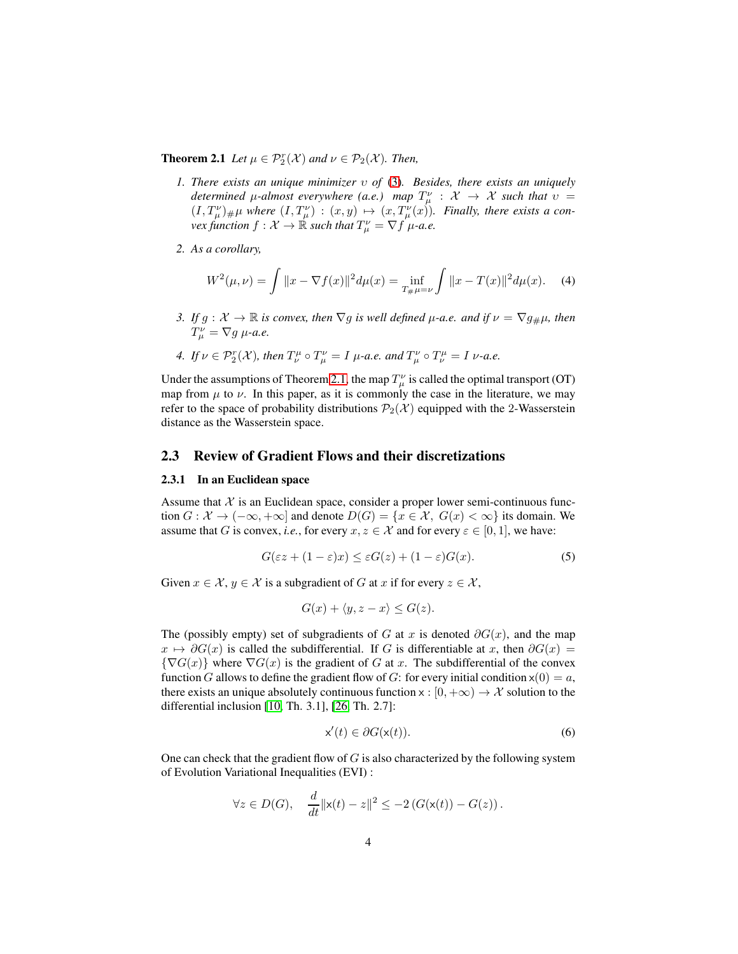**Theorem 2.1** Let  $\mu \in \mathcal{P}_2^r(\mathcal{X})$  and  $\nu \in \mathcal{P}_2(\mathcal{X})$ . Then,

- *1. There exists an unique minimizer* υ *of* [\(3\)](#page-2-1)*. Besides, there exists an uniquely determined*  $\mu$ -almost everywhere (a.e.) map  $T^{\nu}_{\mu}$  :  $\mathcal{X} \rightarrow \mathcal{X}$  such that  $\upsilon =$  $(I, T^{\nu}_{\mu})_{\#}\mu$  where  $(I, T^{\nu}_{\mu}) : (x, y) \mapsto (x, T^{\nu}_{\mu}(x))$ . Finally, there exists a con- $\text{vex function } f: \mathcal{X} \to \mathbb{R} \text{ such that } T^{\nu}_{\mu} = \nabla f \mu$ -a.e.
- *2. As a corollary,*

$$
W^{2}(\mu, \nu) = \int \|x - \nabla f(x)\|^{2} d\mu(x) = \inf_{T_{\#}\mu = \nu} \int \|x - T(x)\|^{2} d\mu(x). \tag{4}
$$

- *3. If*  $g: \mathcal{X} \to \mathbb{R}$  *is convex, then*  $\nabla g$  *is well defined*  $\mu$ -*a.e. and if*  $\nu = \nabla g_{\#} \mu$ *, then*  $T^{\nu}_{\mu} = \nabla g \mu$ -a.e.
- *4.* If  $\nu \in \mathcal{P}_2^r(\mathcal{X})$ , then  $T_{\nu}^{\mu} \circ T_{\mu}^{\nu} = I$   $\mu$ -a.e. and  $T_{\mu}^{\nu} \circ T_{\nu}^{\mu} = I$   $\nu$ -a.e.

Under the assumptions of Theorem [2.1,](#page-2-2) the map  $T^{\nu}_{\mu}$  is called the optimal transport (OT) map from  $\mu$  to  $\nu$ . In this paper, as it is commonly the case in the literature, we may refer to the space of probability distributions  $\mathcal{P}_2(\mathcal{X})$  equipped with the 2-Wasserstein distance as the Wasserstein space.

### 2.3 Review of Gradient Flows and their discretizations

#### 2.3.1 In an Euclidean space

Assume that  $X$  is an Euclidean space, consider a proper lower semi-continuous function  $G: \mathcal{X} \to (-\infty, +\infty]$  and denote  $D(G) = \{x \in \mathcal{X}, G(x) < \infty\}$  its domain. We assume that G is convex, *i.e.*, for every  $x, z \in \mathcal{X}$  and for every  $\varepsilon \in [0, 1]$ , we have:

$$
G(\varepsilon z + (1 - \varepsilon)x) \le \varepsilon G(z) + (1 - \varepsilon)G(x). \tag{5}
$$

Given  $x \in \mathcal{X}, y \in \mathcal{X}$  is a subgradient of G at x if for every  $z \in \mathcal{X}$ ,

$$
G(x) + \langle y, z - x \rangle \le G(z).
$$

The (possibly empty) set of subgradients of G at x is denoted  $\partial G(x)$ , and the map  $x \mapsto \partial G(x)$  is called the subdifferential. If G is differentiable at x, then  $\partial G(x) =$  ${\nabla}G(x)$  where  $\nabla G(x)$  is the gradient of G at x. The subdifferential of the convex function G allows to define the gradient flow of G: for every initial condition  $x(0) = a$ , there exists an unique absolutely continuous function  $x : [0, +\infty) \to \mathcal{X}$  solution to the differential inclusion [\[10,](#page-12-7) Th. 3.1], [\[26,](#page-13-4) Th. 2.7]:

<span id="page-3-0"></span>
$$
\mathsf{x}'(t) \in \partial G(\mathsf{x}(t)).\tag{6}
$$

One can check that the gradient flow of  $G$  is also characterized by the following system of Evolution Variational Inequalities (EVI) :

$$
\forall z \in D(G), \quad \frac{d}{dt} ||\mathbf{x}(t) - z||^2 \leq -2 \left( G(\mathbf{x}(t)) - G(z) \right).
$$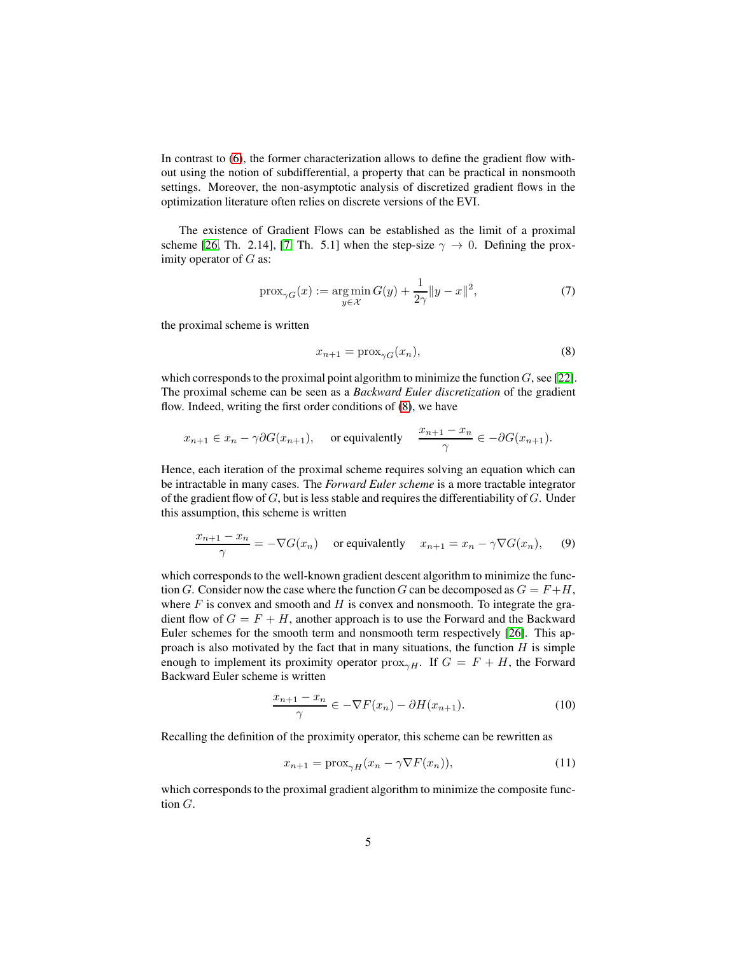In contrast to [\(6\)](#page-3-0), the former characterization allows to define the gradient flow without using the notion of subdifferential, a property that can be practical in nonsmooth settings. Moreover, the non-asymptotic analysis of discretized gradient flows in the optimization literature often relies on discrete versions of the EVI.

The existence of Gradient Flows can be established as the limit of a proximal scheme [\[26,](#page-13-4) Th. 2.14], [7, Th. 5.1] when the step-size  $\gamma \to 0$ . Defining the proximity operator of  $G$  as:

$$
\text{prox}_{\gamma G}(x) := \underset{y \in \mathcal{X}}{\text{arg min}} \, G(y) + \frac{1}{2\gamma} \|y - x\|^2,\tag{7}
$$

the proximal scheme is written

<span id="page-4-0"></span>
$$
x_{n+1} = \text{prox}_{\gamma G}(x_n),\tag{8}
$$

which corresponds to the proximal point algorithm to minimize the function  $G$ , see [\[22\]](#page-13-9). The proximal scheme can be seen as a *Backward Euler discretization* of the gradient flow. Indeed, writing the first order conditions of [\(8\)](#page-4-0), we have

$$
x_{n+1} \in x_n - \gamma \partial G(x_{n+1}),
$$
 or equivalently  $\frac{x_{n+1} - x_n}{\gamma} \in -\partial G(x_{n+1}).$ 

Hence, each iteration of the proximal scheme requires solving an equation which can be intractable in many cases. The *Forward Euler scheme* is a more tractable integrator of the gradient flow of  $G$ , but is less stable and requires the differentiability of  $G$ . Under this assumption, this scheme is written

$$
\frac{x_{n+1} - x_n}{\gamma} = -\nabla G(x_n) \quad \text{or equivalently} \quad x_{n+1} = x_n - \gamma \nabla G(x_n), \tag{9}
$$

which corresponds to the well-known gradient descent algorithm to minimize the function G. Consider now the case where the function G can be decomposed as  $G = F + H$ , where  $F$  is convex and smooth and  $H$  is convex and nonsmooth. To integrate the gradient flow of  $G = F + H$ , another approach is to use the Forward and the Backward Euler schemes for the smooth term and nonsmooth term respectively [\[26\]](#page-13-4). This approach is also motivated by the fact that in many situations, the function  $H$  is simple enough to implement its proximity operator  $prox_{\gamma H}$ . If  $G = F + H$ , the Forward Backward Euler scheme is written

$$
\frac{x_{n+1} - x_n}{\gamma} \in -\nabla F(x_n) - \partial H(x_{n+1}).\tag{10}
$$

Recalling the definition of the proximity operator, this scheme can be rewritten as

$$
x_{n+1} = \text{prox}_{\gamma H}(x_n - \gamma \nabla F(x_n)),\tag{11}
$$

which corresponds to the proximal gradient algorithm to minimize the composite function G.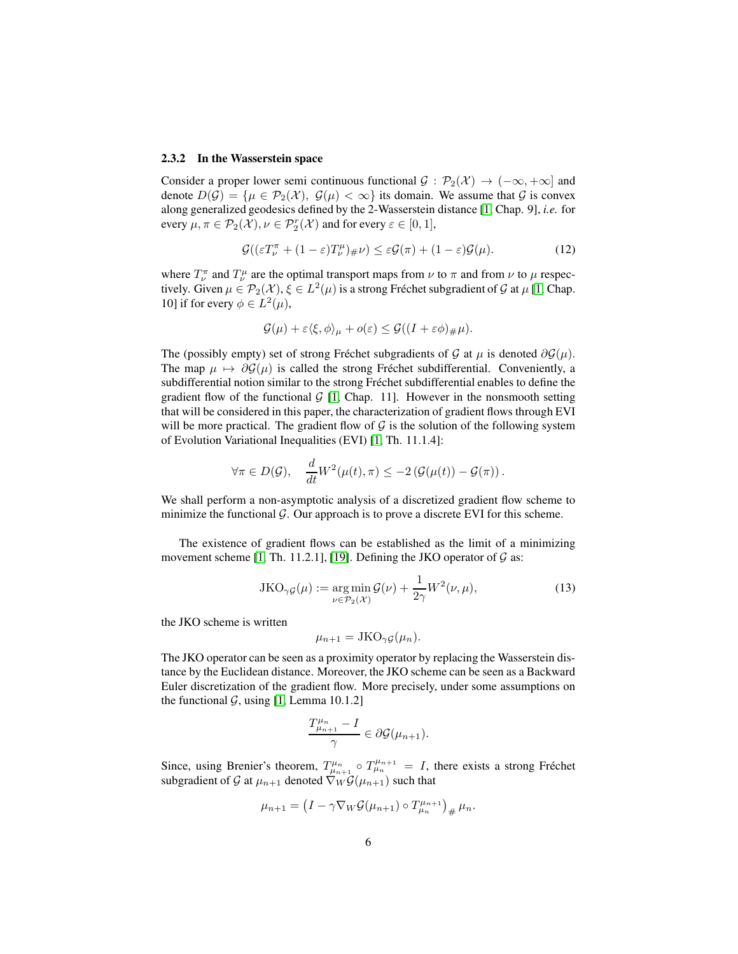#### 2.3.2 In the Wasserstein space

Consider a proper lower semi continuous functional  $\mathcal{G}: \mathcal{P}_2(\mathcal{X}) \to (-\infty, +\infty]$  and denote  $D(\mathcal{G}) = {\mu \in \mathcal{P}_2(\mathcal{X})}, \mathcal{G}(\mu) < \infty}$  its domain. We assume that  $\mathcal{G}$  is convex along generalized geodesics defined by the 2-Wasserstein distance [\[1,](#page-12-1) Chap. 9], *i.e.* for every  $\mu, \pi \in \mathcal{P}_2(\mathcal{X}), \nu \in \mathcal{P}_2^r(\mathcal{X})$  and for every  $\varepsilon \in [0,1],$ 

<span id="page-5-0"></span>
$$
\mathcal{G}((\varepsilon T_{\nu}^{\pi} + (1 - \varepsilon)T_{\nu}^{\mu})_{\#}\nu) \leq \varepsilon \mathcal{G}(\pi) + (1 - \varepsilon)\mathcal{G}(\mu). \tag{12}
$$

where  $T^{\pi}_{\nu}$  and  $T^{\mu}_{\nu}$  are the optimal transport maps from  $\nu$  to  $\pi$  and from  $\nu$  to  $\mu$  respectively. Given  $\mu \in \mathcal{P}_2(\mathcal{X}), \xi \in L^2(\mu)$  is a strong Fréchet subgradient of  $\mathcal G$  at  $\mu$  [\[1,](#page-12-1) Chap. 10] if for every  $\phi \in L^2(\mu)$ ,

$$
\mathcal{G}(\mu) + \varepsilon \langle \xi, \phi \rangle_{\mu} + o(\varepsilon) \leq \mathcal{G}((I + \varepsilon \phi)_{\#} \mu).
$$

The (possibly empty) set of strong Fréchet subgradients of G at  $\mu$  is denoted  $\partial \mathcal{G}(\mu)$ . The map  $\mu \mapsto \partial \mathcal{G}(\mu)$  is called the strong Fréchet subdifferential. Conveniently, a subdifferential notion similar to the strong Fréchet subdifferential enables to define the gradient flow of the functional  $G$  [\[1,](#page-12-1) Chap. 11]. However in the nonsmooth setting that will be considered in this paper, the characterization of gradient flows through EVI will be more practical. The gradient flow of  $\mathcal G$  is the solution of the following system of Evolution Variational Inequalities (EVI) [\[1,](#page-12-1) Th. 11.1.4]:

$$
\forall \pi \in D(\mathcal{G}), \quad \frac{d}{dt} W^2(\mu(t), \pi) \leq -2 \left( \mathcal{G}(\mu(t)) - \mathcal{G}(\pi) \right).
$$

We shall perform a non-asymptotic analysis of a discretized gradient flow scheme to minimize the functional  $\mathcal G$ . Our approach is to prove a discrete EVI for this scheme.

The existence of gradient flows can be established as the limit of a minimizing movement scheme [\[1,](#page-12-1) Th. 11.2.1], [\[19\]](#page-13-0). Defining the JKO operator of  $\mathcal G$  as:

$$
JKO_{\gamma\mathcal{G}}(\mu) := \underset{\nu \in \mathcal{P}_2(\mathcal{X})}{\arg \min} \mathcal{G}(\nu) + \frac{1}{2\gamma} W^2(\nu, \mu),\tag{13}
$$

the JKO scheme is written

$$
\mu_{n+1} = \text{JKO}_{\gamma\mathcal{G}}(\mu_n).
$$

The JKO operator can be seen as a proximity operator by replacing the Wasserstein distance by the Euclidean distance. Moreover, the JKO scheme can be seen as a Backward Euler discretization of the gradient flow. More precisely, under some assumptions on the functional  $G$ , using [\[1,](#page-12-1) Lemma 10.1.2]

$$
\frac{T_{\mu_{n+1}}^{\mu_n}-I}{\gamma}\in \partial \mathcal{G}(\mu_{n+1}).
$$

Since, using Brenier's theorem,  $T^{\mu_n}_{\mu_{n+1}} \circ T^{\mu_{n+1}}_{\mu_n} = I$ , there exists a strong Fréchet subgradient of G at  $\mu_{n+1}$  denoted  $\nabla_W \mathcal{G}(\mu_{n+1})$  such that

$$
\mu_{n+1} = \left(I - \gamma \nabla_W \mathcal{G}(\mu_{n+1}) \circ T_{\mu_n}^{\mu_{n+1}}\right)_{\#} \mu_n.
$$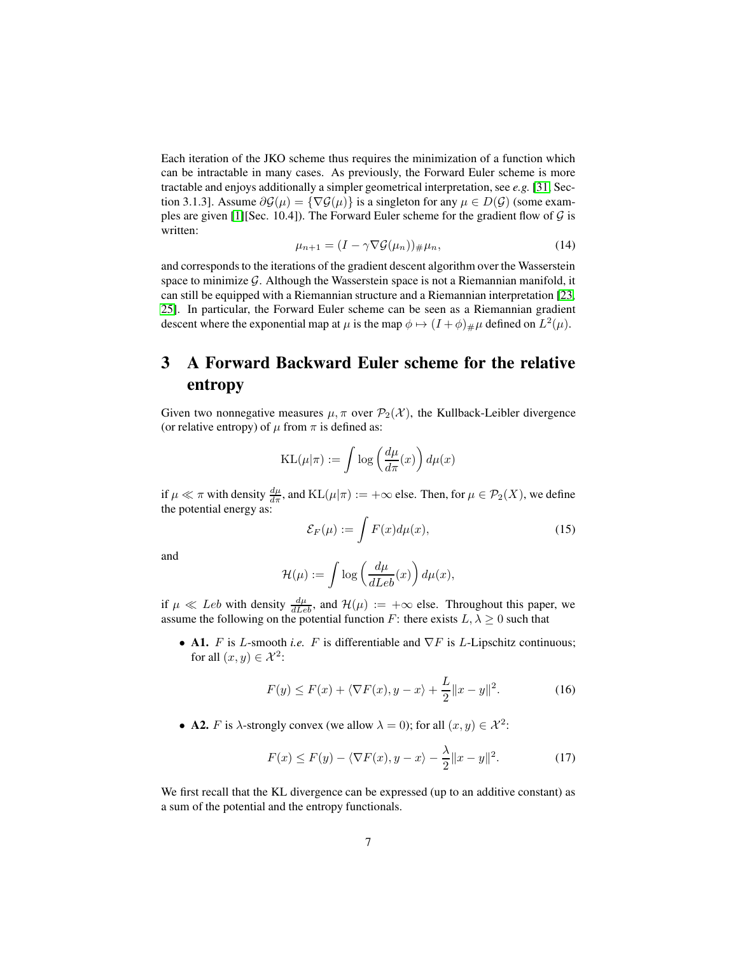Each iteration of the JKO scheme thus requires the minimization of a function which can be intractable in many cases. As previously, the Forward Euler scheme is more tractable and enjoys additionally a simpler geometrical interpretation, see *e.g.* [\[31,](#page-14-0) Section 3.1.3]. Assume  $\partial \mathcal{G}(\mu) = \{ \nabla \mathcal{G}(\mu) \}$  is a singleton for any  $\mu \in D(\mathcal{G})$  (some exam-ples are given [\[1\]](#page-12-1)[Sec. 10.4]). The Forward Euler scheme for the gradient flow of  $G$  is written:

$$
\mu_{n+1} = (I - \gamma \nabla \mathcal{G}(\mu_n))_{\#} \mu_n,\tag{14}
$$

<span id="page-6-2"></span>and corresponds to the iterations of the gradient descent algorithm over the Wasserstein space to minimize  $G$ . Although the Wasserstein space is not a Riemannian manifold, it can still be equipped with a Riemannian structure and a Riemannian interpretation [\[23,](#page-13-6) [25\]](#page-13-7). In particular, the Forward Euler scheme can be seen as a Riemannian gradient descent where the exponential map at  $\mu$  is the map  $\phi \mapsto (I + \phi)_{\#} \mu$  defined on  $L^2(\mu)$ .

# <span id="page-6-0"></span>3 A Forward Backward Euler scheme for the relative entropy

Given two nonnegative measures  $\mu, \pi$  over  $\mathcal{P}_2(\mathcal{X})$ , the Kullback-Leibler divergence (or relative entropy) of  $\mu$  from  $\pi$  is defined as:

$$
KL(\mu|\pi) := \int \log\left(\frac{d\mu}{d\pi}(x)\right) d\mu(x)
$$

if  $\mu \ll \pi$  with density  $\frac{d\mu}{d\pi}$ , and  $\text{KL}(\mu|\pi) := +\infty$  else. Then, for  $\mu \in \mathcal{P}_2(X)$ , we define the potential energy as:

$$
\mathcal{E}_F(\mu) := \int F(x) d\mu(x),\tag{15}
$$

and

$$
\mathcal{H}(\mu) := \int \log \left( \frac{d\mu}{dLeb}(x) \right) d\mu(x),
$$

if  $\mu \ll Leb$  with density  $\frac{d\mu}{dLeb}$ , and  $\mathcal{H}(\mu) := +\infty$  else. Throughout this paper, we assume the following on the potential function F: there exists  $L, \lambda \geq 0$  such that

• A1. F is L-smooth *i.e.* F is differentiable and  $\nabla F$  is L-Lipschitz continuous; for all  $(x, y) \in \mathcal{X}^2$ :

$$
F(y) \le F(x) + \langle \nabla F(x), y - x \rangle + \frac{L}{2} ||x - y||^2.
$$
 (16)

• **A2.** *F* is  $\lambda$ -strongly convex (we allow  $\lambda = 0$ ); for all  $(x, y) \in \mathcal{X}^2$ :

<span id="page-6-1"></span>
$$
F(x) \le F(y) - \langle \nabla F(x), y - x \rangle - \frac{\lambda}{2} ||x - y||^2.
$$
 (17)

We first recall that the KL divergence can be expressed (up to an additive constant) as a sum of the potential and the entropy functionals.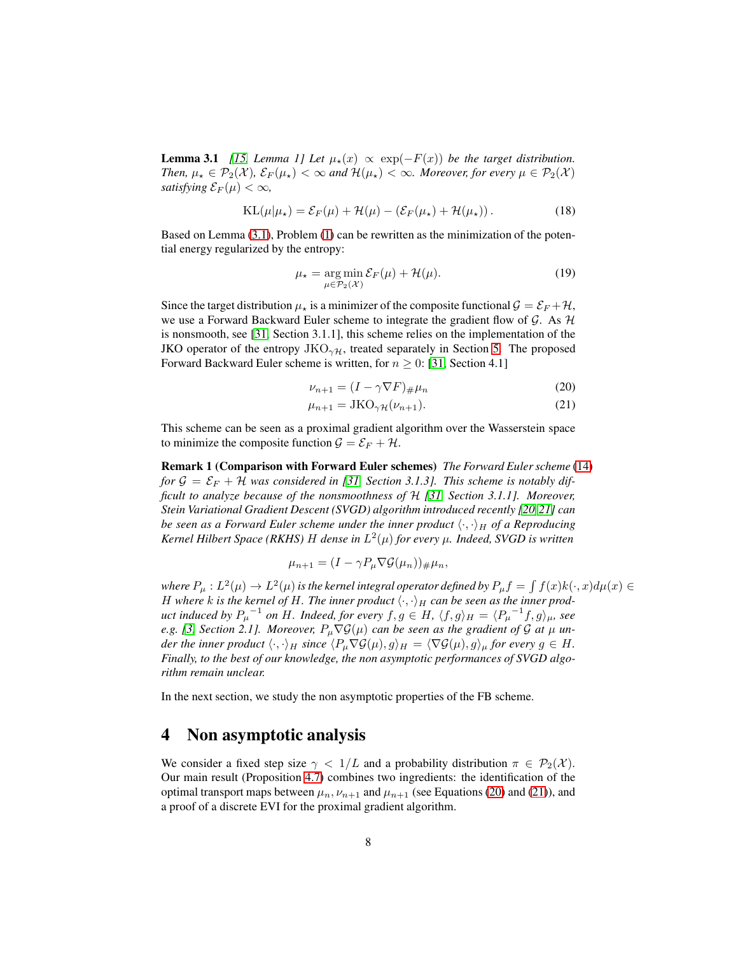**Lemma 3.1** *[\[15,](#page-13-1) Lemma 1] Let*  $\mu_*(x) \propto \exp(-F(x))$  *be the target distribution. Then,*  $\mu_* \in \mathcal{P}_2(\mathcal{X})$ *,*  $\mathcal{E}_F(\mu_*) < \infty$  *and*  $\mathcal{H}(\mu_*) < \infty$ *. Moreover, for every*  $\mu \in \mathcal{P}_2(\mathcal{X})$ *satisfying*  $\mathcal{E}_F(\mu) < \infty$ ,

$$
KL(\mu|\mu_\star) = \mathcal{E}_F(\mu) + \mathcal{H}(\mu) - (\mathcal{E}_F(\mu_\star) + \mathcal{H}(\mu_\star)).
$$
\n(18)

Based on Lemma [\(3.1\)](#page-6-1), Problem [\(1\)](#page-0-1) can be rewritten as the minimization of the potential energy regularized by the entropy:

$$
\mu_{\star} = \underset{\mu \in \mathcal{P}_2(\mathcal{X})}{\arg \min} \mathcal{E}_F(\mu) + \mathcal{H}(\mu). \tag{19}
$$

Since the target distribution  $\mu_{\star}$  is a minimizer of the composite functional  $\mathcal{G} = \mathcal{E}_F + \mathcal{H}$ , we use a Forward Backward Euler scheme to integrate the gradient flow of G. As  $H$ is nonsmooth, see [\[31,](#page-14-0) Section 3.1.1], this scheme relies on the implementation of the JKO operator of the entropy  $JKO_{\gamma\mathcal{H}}$ , treated separately in Section [5.](#page-10-0) The proposed Forward Backward Euler scheme is written, for  $n \geq 0$ : [\[31,](#page-14-0) Section 4.1]

<span id="page-7-2"></span><span id="page-7-1"></span>
$$
\nu_{n+1} = (I - \gamma \nabla F)_{\#} \mu_n \tag{20}
$$

$$
\mu_{n+1} = \text{JKO}_{\gamma\mathcal{H}}(\nu_{n+1}).\tag{21}
$$

This scheme can be seen as a proximal gradient algorithm over the Wasserstein space to minimize the composite function  $G = \mathcal{E}_F + \mathcal{H}$ .

Remark 1 (Comparison with Forward Euler schemes) *The Forward Euler scheme* [\(14\)](#page-6-2) for  $\mathcal{G} = \mathcal{E}_F + \mathcal{H}$  was considered in [\[31,](#page-14-0) Section 3.1.3]. This scheme is notably dif*ficult to analyze because of the nonsmoothness of* H *[\[31,](#page-14-0) Section 3.1.1]. Moreover, Stein Variational Gradient Descent (SVGD) algorithm introduced recently [\[20,](#page-13-10)[21\]](#page-13-11) can be seen as a Forward Euler scheme under the inner product*  $\langle \cdot, \cdot \rangle_H$  *of a Reproducing Kernel Hilbert Space (RKHS)* H *dense in* L 2 (µ) *for every* µ*. Indeed, SVGD is written*

$$
\mu_{n+1} = (I - \gamma P_{\mu} \nabla \mathcal{G}(\mu_n))_{\#} \mu_n,
$$

where  $P_\mu : L^2(\mu) \to L^2(\mu)$  is the kernel integral operator defined by  $P_\mu f = \int f(x) k(\cdot,x) d\mu(x) \in$ H where k is the kernel of H. The inner product  $\langle \cdot, \cdot \rangle_H$  can be seen as the inner prod*uct induced by*  $P_{\mu}^{-1}$  *on* H. Indeed, for every  $f, g \in H$ ,  $\langle f, g \rangle_H = \langle P_{\mu}^{-1}f, g \rangle_{\mu}$ , see *e.g.* [\[3,](#page-12-8) Section 2.1]. Moreover,  $P_\mu \nabla \mathcal{G}(\mu)$  can be seen as the gradient of  $\mathcal G$  at  $\mu$  un*der the inner product*  $\langle \cdot, \cdot \rangle_H$  *since*  $\langle P_u \nabla \mathcal{G}(\mu), g \rangle_H = \langle \nabla \mathcal{G}(\mu), g \rangle_\mu$  *for every*  $g \in H$ *. Finally, to the best of our knowledge, the non asymptotic performances of SVGD algorithm remain unclear.*

In the next section, we study the non asymptotic properties of the FB scheme.

### <span id="page-7-0"></span>4 Non asymptotic analysis

We consider a fixed step size  $\gamma < 1/L$  and a probability distribution  $\pi \in \mathcal{P}_2(\mathcal{X})$ . Our main result (Proposition [4.7\)](#page-9-0) combines two ingredients: the identification of the optimal transport maps between  $\mu_n$ ,  $\nu_{n+1}$  and  $\mu_{n+1}$  (see Equations [\(20\)](#page-7-1) and [\(21\)](#page-7-2)), and a proof of a discrete EVI for the proximal gradient algorithm.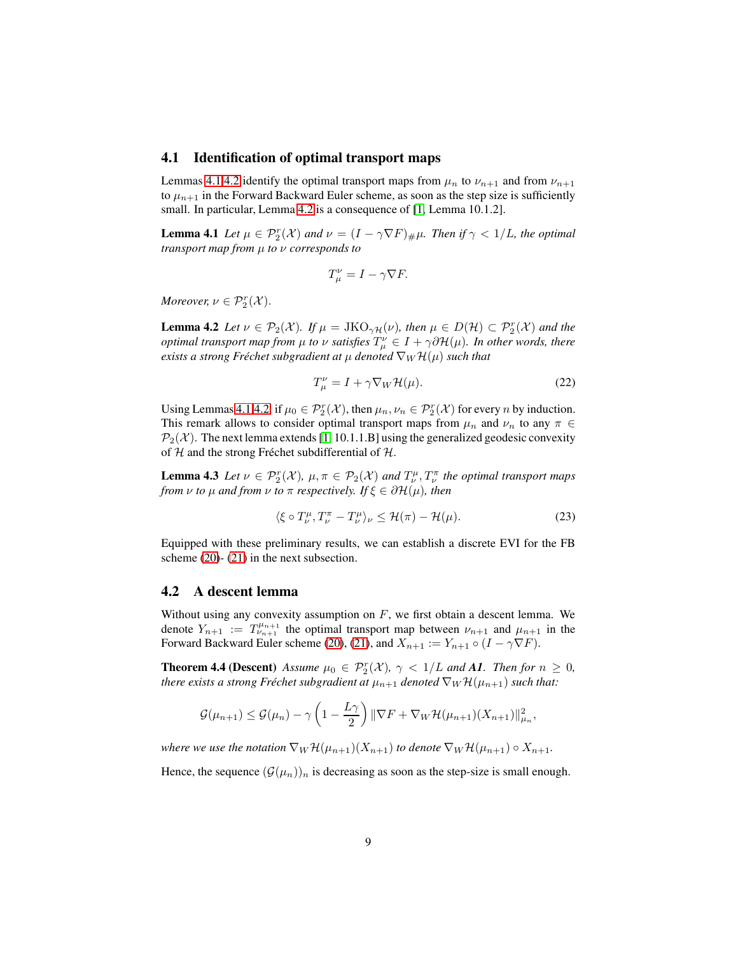#### 4.1 Identification of optimal transport maps

Lemmas [4.1](#page-8-0)[,4.2](#page-8-1) identify the optimal transport maps from  $\mu_n$  to  $\nu_{n+1}$  and from  $\nu_{n+1}$ to  $\mu_{n+1}$  in the Forward Backward Euler scheme, as soon as the step size is sufficiently small. In particular, Lemma [4.2](#page-8-1) is a consequence of [\[1,](#page-12-1) Lemma 10.1.2].

**Lemma 4.1** *Let*  $\mu \in \mathcal{P}_2^r(\mathcal{X})$  *and*  $\nu = (I - \gamma \nabla F)_{\#}\mu$ *. Then if*  $\gamma < 1/L$ *, the optimal transport map from* µ *to* ν *corresponds to*

<span id="page-8-0"></span>
$$
T_{\mu}^{\nu}=I-\gamma\nabla F.
$$

<span id="page-8-1"></span>*Moreover,*  $\nu \in \mathcal{P}_2^r(\mathcal{X})$ .

**Lemma 4.2** *Let*  $\nu \in \mathcal{P}_2(\mathcal{X})$ *. If*  $\mu = \text{JKO}_{\gamma H}(\nu)$ *, then*  $\mu \in D(\mathcal{H}) \subset \mathcal{P}_2^r(\mathcal{X})$  *and the optimal transport map from*  $\mu$  *to*  $\nu$  *satisfies*  $T^{\nu}_{\mu} \in I + \gamma \partial \mathcal{H}(\mu)$ *. In other words, there exists a strong Fréchet subgradient at*  $\mu$  *denoted*  $\nabla_W \mathcal{H}(\mu)$  *such that* 

<span id="page-8-2"></span>
$$
T^{\nu}_{\mu} = I + \gamma \nabla_{W} \mathcal{H}(\mu). \tag{22}
$$

Using Lemmas [4.1](#page-8-0)[,4.2,](#page-8-1) if  $\mu_0 \in \mathcal{P}_2^r(\mathcal{X})$ , then  $\mu_n, \nu_n \in \mathcal{P}_2^r(\mathcal{X})$  for every n by induction. This remark allows to consider optimal transport maps from  $\mu_n$  and  $\nu_n$  to any  $\pi \in$  $\mathcal{P}_2(\mathcal{X})$ . The next lemma extends [\[1,](#page-12-1) 10.1.1.B] using the generalized geodesic convexity of  $H$  and the strong Fréchet subdifferential of  $H$ .

**Lemma 4.3** *Let*  $\nu \in \mathcal{P}_2^r(\mathcal{X})$ ,  $\mu, \pi \in \mathcal{P}_2(\mathcal{X})$  and  $T_{\nu}^{\mu}, T_{\nu}^{\pi}$  the optimal transport maps *from*  $\nu$  *to*  $\mu$  *and from*  $\nu$  *to*  $\pi$  *respectively. If*  $\xi \in \partial \mathcal{H}(\mu)$ *, then* 

<span id="page-8-3"></span>
$$
\langle \xi \circ T_{\nu}^{\mu}, T_{\nu}^{\pi} - T_{\nu}^{\mu} \rangle_{\nu} \le \mathcal{H}(\pi) - \mathcal{H}(\mu). \tag{23}
$$

Equipped with these preliminary results, we can establish a discrete EVI for the FB scheme [\(20\)](#page-7-1)- [\(21\)](#page-7-2) in the next subsection.

#### 4.2 A descent lemma

Without using any convexity assumption on  $F$ , we first obtain a descent lemma. We denote  $Y_{n+1} := T^{\mu_{n+1}}_{\nu_{n+1}}$  the optimal transport map between  $\nu_{n+1}$  and  $\mu_{n+1}$  in the Forward Backward Euler scheme [\(20\)](#page-7-1), [\(21\)](#page-7-2), and  $X_{n+1} := Y_{n+1} \circ (I - \gamma \nabla F)$ .

**Theorem 4.4 (Descent)** *Assume*  $\mu_0 \in \mathcal{P}_2^r(\mathcal{X})$ ,  $\gamma < 1/L$  *and* **A1***. Then for*  $n \geq 0$ *, there exists a strong Fréchet subgradient at*  $\mu_{n+1}$  *denoted*  $\nabla_W \mathcal{H}(\mu_{n+1})$  *such that:* 

$$
\mathcal{G}(\mu_{n+1}) \leq \mathcal{G}(\mu_n) - \gamma \left(1 - \frac{L\gamma}{2}\right) \|\nabla F + \nabla_W \mathcal{H}(\mu_{n+1})(X_{n+1})\|_{\mu_n}^2,
$$

*where we use the notation*  $\nabla_W \mathcal{H}(\mu_{n+1})(X_{n+1})$  *to denote*  $\nabla_W \mathcal{H}(\mu_{n+1}) \circ X_{n+1}$ *.* 

Hence, the sequence  $(\mathcal{G}(\mu_n))_n$  is decreasing as soon as the step-size is small enough.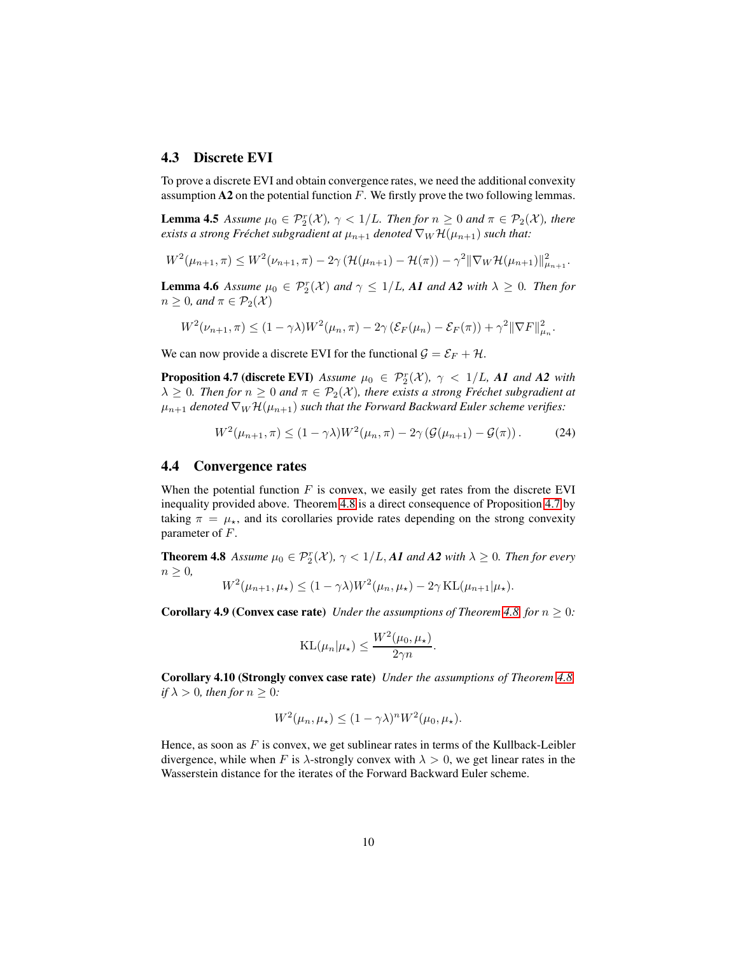### 4.3 Discrete EVI

To prove a discrete EVI and obtain convergence rates, we need the additional convexity assumption  $A2$  on the potential function F. We firstly prove the two following lemmas.

**Lemma 4.5** *Assume*  $\mu_0 \in \mathcal{P}_2^r(\mathcal{X}), \ \gamma < 1/L$ *. Then for*  $n \geq 0$  *and*  $\pi \in \mathcal{P}_2(\mathcal{X})$ *, there exists a strong Fréchet subgradient at*  $\mu_{n+1}$  *denoted*  $\nabla_W \mathcal{H}(\mu_{n+1})$  *such that:* 

<span id="page-9-2"></span>
$$
W^{2}(\mu_{n+1}, \pi) \leq W^{2}(\nu_{n+1}, \pi) - 2\gamma \left( \mathcal{H}(\mu_{n+1}) - \mathcal{H}(\pi) \right) - \gamma^{2} \|\nabla_{W} \mathcal{H}(\mu_{n+1})\|_{\mu_{n+1}}^{2}.
$$

<span id="page-9-3"></span>**Lemma 4.6** Assume  $\mu_0 \in \mathcal{P}_2^r(\mathcal{X})$  and  $\gamma \leq 1/L$ , A1 and A2 with  $\lambda \geq 0$ . Then for  $n \geq 0$ *, and*  $\pi \in \mathcal{P}_2(\mathcal{X})$ 

$$
W^2(\nu_{n+1}, \pi) \le (1 - \gamma \lambda) W^2(\mu_n, \pi) - 2\gamma \left(\mathcal{E}_F(\mu_n) - \mathcal{E}_F(\pi)\right) + \gamma^2 \|\nabla F\|_{\mu_n}^2.
$$

We can now provide a discrete EVI for the functional  $\mathcal{G} = \mathcal{E}_F + \mathcal{H}$ .

**Proposition 4.7 (discrete EVI)** Assume  $\mu_0 \in \mathcal{P}_2^r(\mathcal{X})$ ,  $\gamma < 1/L$ , A1 and A2 with  $\lambda \geq 0$ *. Then for*  $n \geq 0$  *and*  $\pi \in \mathcal{P}_2(\mathcal{X})$ *, there exists a strong Fréchet subgradient at*  $\mu_{n+1}$  *denoted*  $\nabla_W \mathcal{H}(\mu_{n+1})$  *such that the Forward Backward Euler scheme verifies:* 

<span id="page-9-0"></span>
$$
W^2(\mu_{n+1}, \pi) \le (1 - \gamma \lambda) W^2(\mu_n, \pi) - 2\gamma \left(\mathcal{G}(\mu_{n+1}) - \mathcal{G}(\pi)\right). \tag{24}
$$

#### 4.4 Convergence rates

When the potential function  $F$  is convex, we easily get rates from the discrete EVI inequality provided above. Theorem [4.8](#page-9-1) is a direct consequence of Proposition [4.7](#page-9-0) by taking  $\pi = \mu_{\star}$ , and its corollaries provide rates depending on the strong convexity parameter of F.

**Theorem 4.8** *Assume*  $\mu_0 \in \mathcal{P}_2^r(\mathcal{X})$ ,  $\gamma < 1/L$ , **A1** and **A2** with  $\lambda \geq 0$ . Then for every  $n > 0$ ,

<span id="page-9-1"></span>
$$
W^2(\mu_{n+1}, \mu_\star) \le (1 - \gamma \lambda) W^2(\mu_n, \mu_\star) - 2\gamma \mathrm{KL}(\mu_{n+1}|\mu_\star).
$$

<span id="page-9-4"></span>**Corollary 4.9 (Convex case rate)** *Under the assumptions of Theorem [4.8,](#page-9-1) for*  $n \geq 0$ *:* 

$$
KL(\mu_n|\mu_\star) \le \frac{W^2(\mu_0, \mu_\star)}{2\gamma n}.
$$

<span id="page-9-5"></span>Corollary 4.10 (Strongly convex case rate) *Under the assumptions of Theorem [4.8,](#page-9-1) if*  $\lambda > 0$ *, then for*  $n \geq 0$ *:* 

$$
W^2(\mu_n, \mu_\star) \le (1 - \gamma \lambda)^n W^2(\mu_0, \mu_\star).
$$

Hence, as soon as  $F$  is convex, we get sublinear rates in terms of the Kullback-Leibler divergence, while when F is  $\lambda$ -strongly convex with  $\lambda > 0$ , we get linear rates in the Wasserstein distance for the iterates of the Forward Backward Euler scheme.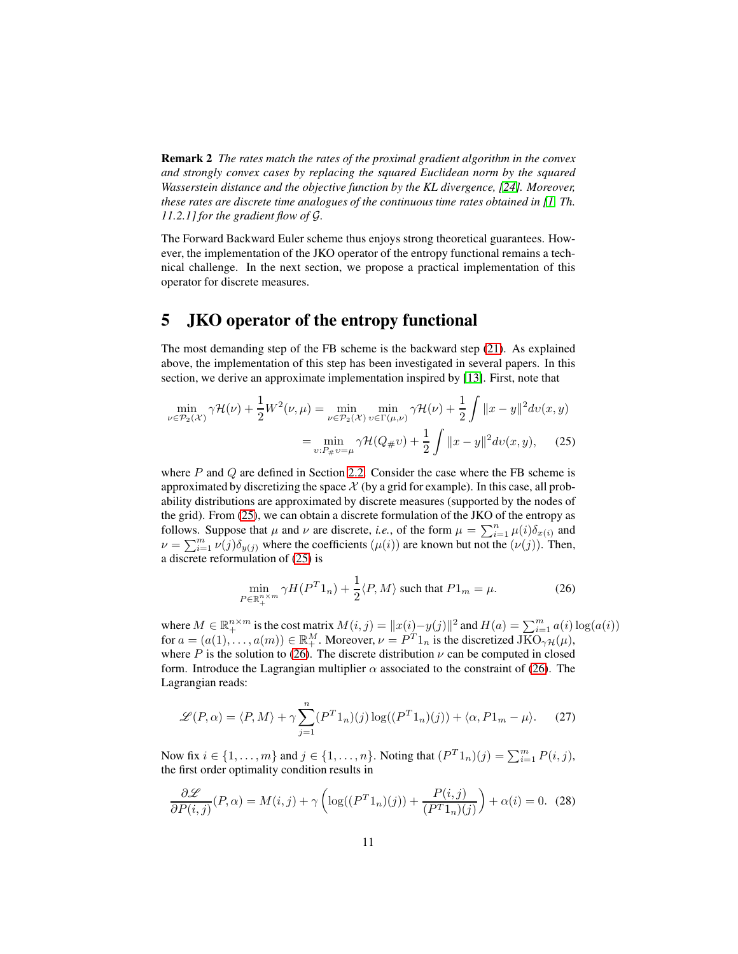Remark 2 *The rates match the rates of the proximal gradient algorithm in the convex and strongly convex cases by replacing the squared Euclidean norm by the squared Wasserstein distance and the objective function by the KL divergence, [\[24\]](#page-13-12). Moreover, these rates are discrete time analogues of the continuous time rates obtained in [\[1,](#page-12-1) Th. 11.2.1] for the gradient flow of* G*.*

The Forward Backward Euler scheme thus enjoys strong theoretical guarantees. However, the implementation of the JKO operator of the entropy functional remains a technical challenge. In the next section, we propose a practical implementation of this operator for discrete measures.

### <span id="page-10-0"></span>5 JKO operator of the entropy functional

The most demanding step of the FB scheme is the backward step [\(21\)](#page-7-2). As explained above, the implementation of this step has been investigated in several papers. In this section, we derive an approximate implementation inspired by [\[13\]](#page-12-4). First, note that

$$
\min_{\nu \in \mathcal{P}_2(\mathcal{X})} \gamma \mathcal{H}(\nu) + \frac{1}{2} W^2(\nu, \mu) = \min_{\nu \in \mathcal{P}_2(\mathcal{X})} \min_{v \in \Gamma(\mu, \nu)} \gamma \mathcal{H}(\nu) + \frac{1}{2} \int \|x - y\|^2 dv(x, y)
$$

$$
= \min_{v: P_{\#}v = \mu} \gamma \mathcal{H}(Q_{\#}v) + \frac{1}{2} \int \|x - y\|^2 dv(x, y), \quad (25)
$$

where  $P$  and  $Q$  are defined in Section [2.2.](#page-2-3) Consider the case where the FB scheme is approximated by discretizing the space  $X$  (by a grid for example). In this case, all probability distributions are approximated by discrete measures (supported by the nodes of the grid). From [\(25\)](#page-10-1), we can obtain a discrete formulation of the JKO of the entropy as follows. Suppose that  $\mu$  and  $\nu$  are discrete, *i.e.*, of the form  $\mu = \sum_{i=1}^n \mu(i) \delta_{x(i)}$  and  $\nu = \sum_{i=1}^m \nu(j) \delta_{y(j)}$  where the coefficients  $(\mu(i))$  are known but not the  $(\nu(j))$ . Then, a discrete reformulation of [\(25\)](#page-10-1) is

<span id="page-10-2"></span><span id="page-10-1"></span>
$$
\min_{P \in \mathbb{R}_+^{n \times m}} \gamma H(P^T 1_n) + \frac{1}{2} \langle P, M \rangle \text{ such that } P1_m = \mu. \tag{26}
$$

where  $M \in \mathbb{R}^{n \times m}_{+}$  is the cost matrix  $M(i, j) = ||x(i) - y(j)||^2$  and  $H(a) = \sum_{i=1}^{m} a(i) \log(a(i))$ for  $a = (a(1), \ldots, a(m)) \in \mathbb{R}^M_+$ . Moreover,  $\nu = P^T 1_n$  is the discretized  $\overline{JKO}_{\gamma\mathcal{H}}(\mu)$ , where P is the solution to [\(26\)](#page-10-2). The discrete distribution  $\nu$  can be computed in closed form. Introduce the Lagrangian multiplier  $\alpha$  associated to the constraint of [\(26\)](#page-10-2). The Lagrangian reads:

<span id="page-10-3"></span>
$$
\mathcal{L}(P,\alpha) = \langle P,M \rangle + \gamma \sum_{j=1}^{n} (P^{T}1_{n})(j) \log((P^{T}1_{n})(j)) + \langle \alpha, P1_{m} - \mu \rangle.
$$
 (27)

Now fix  $i \in \{1, ..., m\}$  and  $j \in \{1, ..., n\}$ . Noting that  $(P^{T}1_{n})(j) = \sum_{i=1}^{m} P(i, j)$ , the first order optimality condition results in

$$
\frac{\partial \mathcal{L}}{\partial P(i,j)}(P,\alpha) = M(i,j) + \gamma \left( \log((P^T 1_n)(j)) + \frac{P(i,j)}{(P^T 1_n)(j)} \right) + \alpha(i) = 0. \tag{28}
$$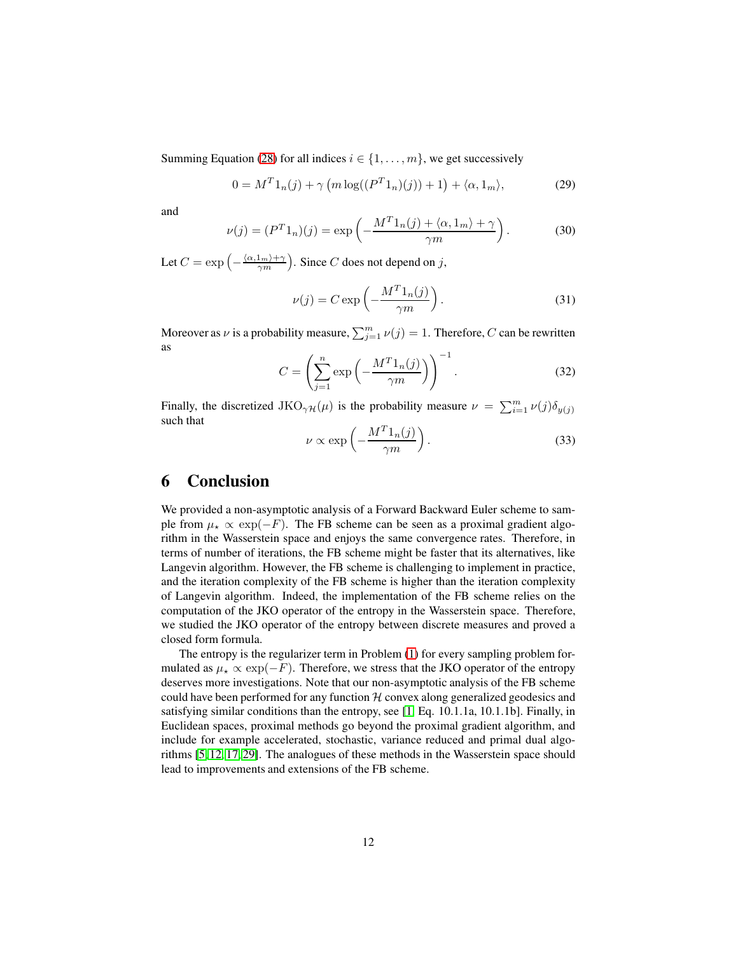Summing Equation [\(28\)](#page-10-3) for all indices  $i \in \{1, \ldots, m\}$ , we get successively

$$
0 = MT 1n(j) + \gamma \left( m \log((PT 1n)(j)) + 1 \right) + \langle \alpha, 1_m \rangle,
$$
 (29)

and

$$
\nu(j) = (P^T 1_n)(j) = \exp\left(-\frac{M^T 1_n(j) + \langle \alpha, 1_m \rangle + \gamma}{\gamma m}\right).
$$
 (30)

Let  $C = \exp\left(-\frac{\langle \alpha, 1_m \rangle + \gamma}{\gamma m}\right)$ . Since C does not depend on j,

$$
\nu(j) = C \exp\left(-\frac{M^T 1_n(j)}{\gamma m}\right). \tag{31}
$$

Moreover as  $\nu$  is a probability measure,  $\sum_{j=1}^{m} \nu(j) = 1$ . Therefore, C can be rewritten as

$$
C = \left(\sum_{j=1}^{n} \exp\left(-\frac{M^{T}1_{n}(j)}{\gamma m}\right)\right)^{-1}.
$$
 (32)

Finally, the discretized JKO<sub>γ</sub> $\mu(\mu)$  is the probability measure  $\nu = \sum_{i=1}^{m} \nu(j) \delta_{y(j)}$ such that

$$
\nu \propto \exp\left(-\frac{M^T 1_n(j)}{\gamma m}\right). \tag{33}
$$

### <span id="page-11-0"></span>6 Conclusion

We provided a non-asymptotic analysis of a Forward Backward Euler scheme to sample from  $\mu_{\star} \propto \exp(-F)$ . The FB scheme can be seen as a proximal gradient algorithm in the Wasserstein space and enjoys the same convergence rates. Therefore, in terms of number of iterations, the FB scheme might be faster that its alternatives, like Langevin algorithm. However, the FB scheme is challenging to implement in practice, and the iteration complexity of the FB scheme is higher than the iteration complexity of Langevin algorithm. Indeed, the implementation of the FB scheme relies on the computation of the JKO operator of the entropy in the Wasserstein space. Therefore, we studied the JKO operator of the entropy between discrete measures and proved a closed form formula.

The entropy is the regularizer term in Problem [\(1\)](#page-0-1) for every sampling problem formulated as  $\mu_{\star} \propto \exp(-F)$ . Therefore, we stress that the JKO operator of the entropy deserves more investigations. Note that our non-asymptotic analysis of the FB scheme could have been performed for any function  $H$  convex along generalized geodesics and satisfying similar conditions than the entropy, see [\[1,](#page-12-1) Eq. 10.1.1a, 10.1.1b]. Finally, in Euclidean spaces, proximal methods go beyond the proximal gradient algorithm, and include for example accelerated, stochastic, variance reduced and primal dual algorithms [\[5,](#page-12-9) [12,](#page-12-10) [17,](#page-13-13) [29\]](#page-14-3). The analogues of these methods in the Wasserstein space should lead to improvements and extensions of the FB scheme.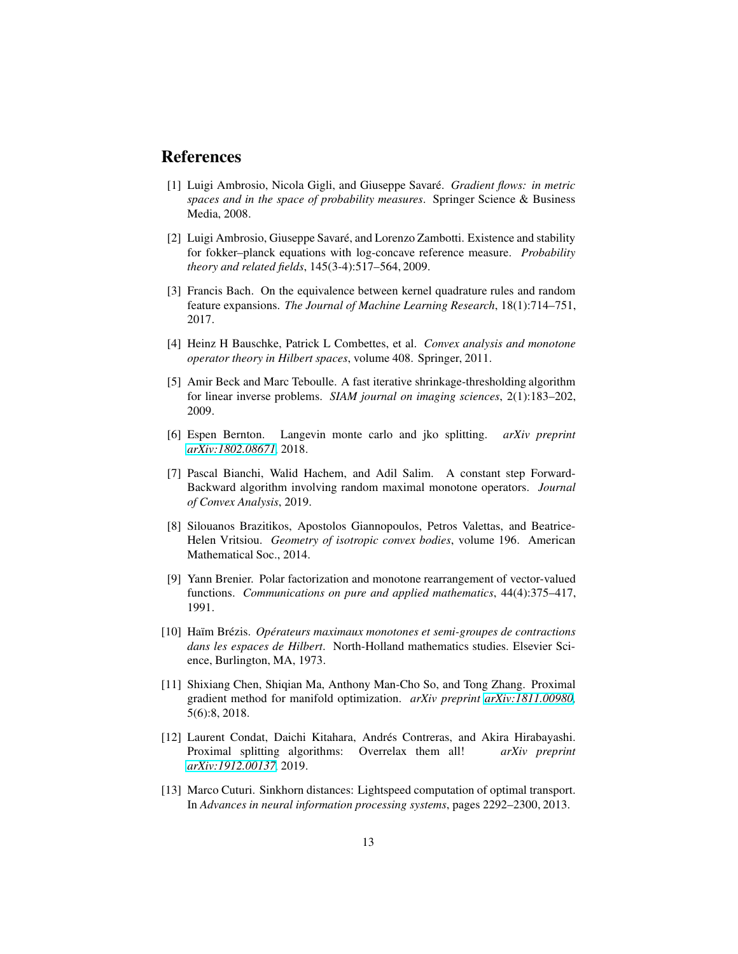### <span id="page-12-1"></span>References

- [1] Luigi Ambrosio, Nicola Gigli, and Giuseppe Savaré. *Gradient flows: in metric spaces and in the space of probability measures*. Springer Science & Business Media, 2008.
- <span id="page-12-11"></span>[2] Luigi Ambrosio, Giuseppe Savaré, and Lorenzo Zambotti. Existence and stability for fokker–planck equations with log-concave reference measure. *Probability theory and related fields*, 145(3-4):517–564, 2009.
- <span id="page-12-8"></span>[3] Francis Bach. On the equivalence between kernel quadrature rules and random feature expansions. *The Journal of Machine Learning Research*, 18(1):714–751, 2017.
- <span id="page-12-9"></span><span id="page-12-3"></span>[4] Heinz H Bauschke, Patrick L Combettes, et al. *Convex analysis and monotone operator theory in Hilbert spaces*, volume 408. Springer, 2011.
- [5] Amir Beck and Marc Teboulle. A fast iterative shrinkage-thresholding algorithm for linear inverse problems. *SIAM journal on imaging sciences*, 2(1):183–202, 2009.
- <span id="page-12-2"></span>[6] Espen Bernton. Langevin monte carlo and jko splitting. *arXiv preprint [arXiv:1802.08671](http://arxiv.org/abs/1802.08671)*, 2018.
- [7] Pascal Bianchi, Walid Hachem, and Adil Salim. A constant step Forward-Backward algorithm involving random maximal monotone operators. *Journal of Convex Analysis*, 2019.
- <span id="page-12-0"></span>[8] Silouanos Brazitikos, Apostolos Giannopoulos, Petros Valettas, and Beatrice-Helen Vritsiou. *Geometry of isotropic convex bodies*, volume 196. American Mathematical Soc., 2014.
- <span id="page-12-6"></span>[9] Yann Brenier. Polar factorization and monotone rearrangement of vector-valued functions. *Communications on pure and applied mathematics*, 44(4):375–417, 1991.
- <span id="page-12-7"></span>[10] Haïm Brézis. *Opérateurs maximaux monotones et semi-groupes de contractions dans les espaces de Hilbert*. North-Holland mathematics studies. Elsevier Science, Burlington, MA, 1973.
- <span id="page-12-5"></span>[11] Shixiang Chen, Shiqian Ma, Anthony Man-Cho So, and Tong Zhang. Proximal gradient method for manifold optimization. *arXiv preprint [arXiv:1811.00980](http://arxiv.org/abs/1811.00980)*, 5(6):8, 2018.
- <span id="page-12-10"></span>[12] Laurent Condat, Daichi Kitahara, Andrés Contreras, and Akira Hirabayashi. Proximal splitting algorithms: Overrelax them all! *arXiv preprint [arXiv:1912.00137](http://arxiv.org/abs/1912.00137)*, 2019.
- <span id="page-12-4"></span>[13] Marco Cuturi. Sinkhorn distances: Lightspeed computation of optimal transport. In *Advances in neural information processing systems*, pages 2292–2300, 2013.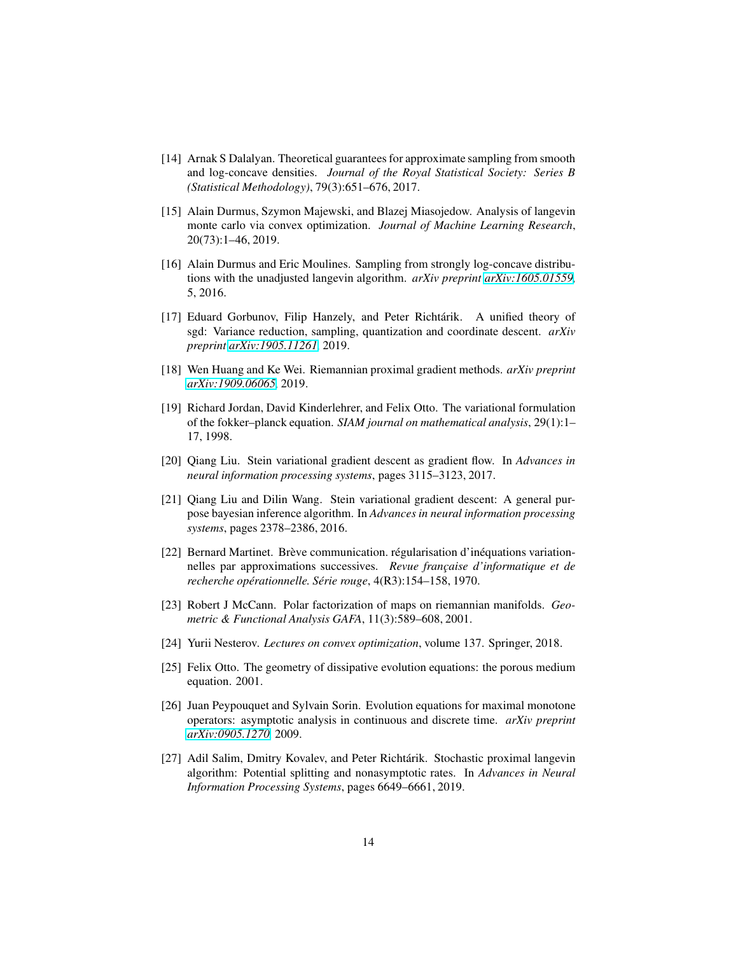- <span id="page-13-2"></span>[14] Arnak S Dalalyan. Theoretical guarantees for approximate sampling from smooth and log-concave densities. *Journal of the Royal Statistical Society: Series B (Statistical Methodology)*, 79(3):651–676, 2017.
- <span id="page-13-1"></span>[15] Alain Durmus, Szymon Majewski, and Blazej Miasojedow. Analysis of langevin monte carlo via convex optimization. *Journal of Machine Learning Research*, 20(73):1–46, 2019.
- <span id="page-13-3"></span>[16] Alain Durmus and Eric Moulines. Sampling from strongly log-concave distributions with the unadjusted langevin algorithm. *arXiv preprint [arXiv:1605.01559](http://arxiv.org/abs/1605.01559)*, 5, 2016.
- <span id="page-13-13"></span>[17] Eduard Gorbunov, Filip Hanzely, and Peter Richtárik. A unified theory of sgd: Variance reduction, sampling, quantization and coordinate descent. *arXiv preprint [arXiv:1905.11261](http://arxiv.org/abs/1905.11261)*, 2019.
- <span id="page-13-8"></span><span id="page-13-0"></span>[18] Wen Huang and Ke Wei. Riemannian proximal gradient methods. *arXiv preprint [arXiv:1909.06065](http://arxiv.org/abs/1909.06065)*, 2019.
- [19] Richard Jordan, David Kinderlehrer, and Felix Otto. The variational formulation of the fokker–planck equation. *SIAM journal on mathematical analysis*, 29(1):1– 17, 1998.
- <span id="page-13-10"></span>[20] Qiang Liu. Stein variational gradient descent as gradient flow. In *Advances in neural information processing systems*, pages 3115–3123, 2017.
- <span id="page-13-11"></span>[21] Qiang Liu and Dilin Wang. Stein variational gradient descent: A general purpose bayesian inference algorithm. In *Advances in neural information processing systems*, pages 2378–2386, 2016.
- <span id="page-13-9"></span>[22] Bernard Martinet. Brève communication. régularisation d'inéquations variationnelles par approximations successives. *Revue française d'informatique et de recherche opérationnelle. Série rouge*, 4(R3):154–158, 1970.
- <span id="page-13-6"></span>[23] Robert J McCann. Polar factorization of maps on riemannian manifolds. *Geometric & Functional Analysis GAFA*, 11(3):589–608, 2001.
- <span id="page-13-12"></span><span id="page-13-7"></span>[24] Yurii Nesterov. *Lectures on convex optimization*, volume 137. Springer, 2018.
- [25] Felix Otto. The geometry of dissipative evolution equations: the porous medium equation. 2001.
- <span id="page-13-4"></span>[26] Juan Peypouquet and Sylvain Sorin. Evolution equations for maximal monotone operators: asymptotic analysis in continuous and discrete time. *arXiv preprint [arXiv:0905.1270](http://arxiv.org/abs/0905.1270)*, 2009.
- <span id="page-13-5"></span>[27] Adil Salim, Dmitry Kovalev, and Peter Richtárik. Stochastic proximal langevin algorithm: Potential splitting and nonasymptotic rates. In *Advances in Neural Information Processing Systems*, pages 6649–6661, 2019.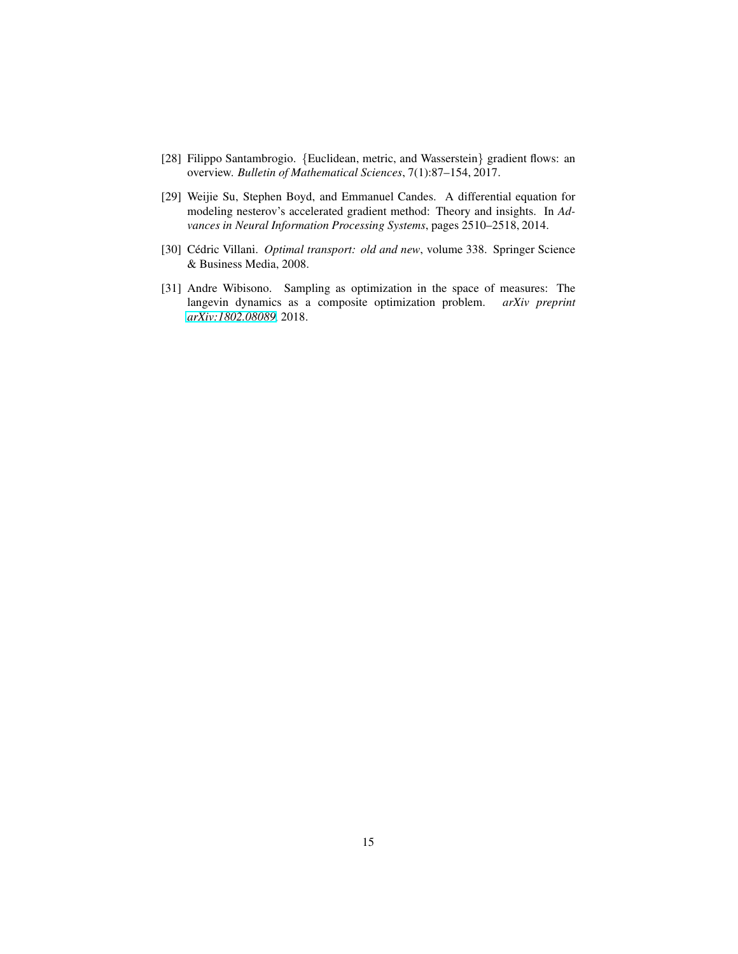- <span id="page-14-3"></span><span id="page-14-1"></span>[28] Filippo Santambrogio. {Euclidean, metric, and Wasserstein} gradient flows: an overview. *Bulletin of Mathematical Sciences*, 7(1):87–154, 2017.
- [29] Weijie Su, Stephen Boyd, and Emmanuel Candes. A differential equation for modeling nesterov's accelerated gradient method: Theory and insights. In *Advances in Neural Information Processing Systems*, pages 2510–2518, 2014.
- <span id="page-14-2"></span><span id="page-14-0"></span>[30] Cédric Villani. *Optimal transport: old and new*, volume 338. Springer Science & Business Media, 2008.
- [31] Andre Wibisono. Sampling as optimization in the space of measures: The langevin dynamics as a composite optimization problem. *arXiv preprint [arXiv:1802.08089](http://arxiv.org/abs/1802.08089)*, 2018.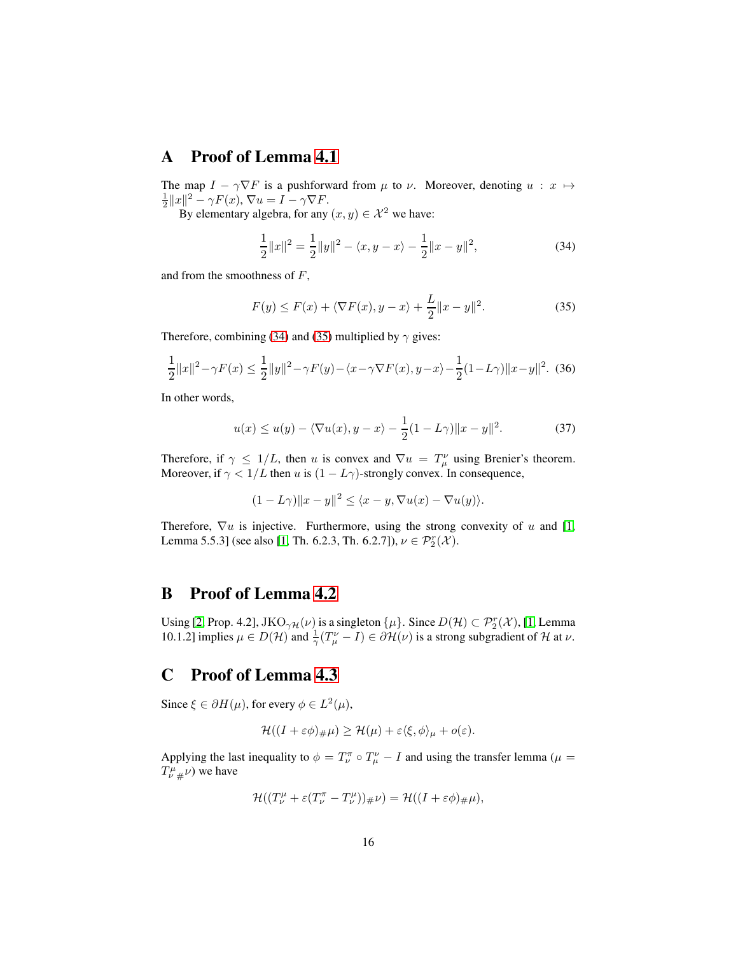### A Proof of Lemma [4.1](#page-8-0)

The map  $I - \gamma \nabla F$  is a pushforward from  $\mu$  to  $\nu$ . Moreover, denoting  $u : x \mapsto$  $\frac{1}{2}||x||^2 - \gamma F(x), \nabla u = I - \gamma \nabla F.$ 

By elementary algebra, for any  $(x, y) \in \mathcal{X}^2$  we have:

<span id="page-15-1"></span><span id="page-15-0"></span>
$$
\frac{1}{2}||x||^2 = \frac{1}{2}||y||^2 - \langle x, y - x \rangle - \frac{1}{2}||x - y||^2,
$$
\n(34)

and from the smoothness of F,

$$
F(y) \le F(x) + \langle \nabla F(x), y - x \rangle + \frac{L}{2} ||x - y||^2.
$$
 (35)

Therefore, combining [\(34\)](#page-15-0) and [\(35\)](#page-15-1) multiplied by  $\gamma$  gives:

$$
\frac{1}{2}||x||^2 - \gamma F(x) \le \frac{1}{2}||y||^2 - \gamma F(y) - \langle x - \gamma \nabla F(x), y - x \rangle - \frac{1}{2}(1 - L\gamma)||x - y||^2. \tag{36}
$$

In other words,

$$
u(x) \le u(y) - \langle \nabla u(x), y - x \rangle - \frac{1}{2} (1 - L\gamma) \|x - y\|^2.
$$
 (37)

Therefore, if  $\gamma \leq 1/L$ , then u is convex and  $\nabla u = T^{\nu}_{\mu}$  using Brenier's theorem. Moreover, if  $\gamma < 1/L$  then u is  $(1 - L\gamma)$ -strongly convex. In consequence,

$$
(1 - L\gamma) \|x - y\|^2 \le \langle x - y, \nabla u(x) - \nabla u(y) \rangle.
$$

Therefore,  $\nabla u$  is injective. Furthermore, using the strong convexity of u and [\[1,](#page-12-1) Lemma 5.5.3] (see also [\[1,](#page-12-1) Th. 6.2.3, Th. 6.2.7]),  $\nu \in \mathcal{P}_2^r(\mathcal{X})$ .

# B Proof of Lemma [4.2](#page-8-1)

Using [\[2,](#page-12-11) Prop. 4.2],  $JKO_{\gamma\mathcal{H}}(\nu)$  is a singleton  $\{\mu\}$ . Since  $D(\mathcal{H}) \subset \mathcal{P}_2^r(\mathcal{X})$ , [\[1,](#page-12-1) Lemma 10.1.2] implies  $\mu \in D(\mathcal{H})$  and  $\frac{1}{\gamma}(T^{\nu}_{\mu} - I) \in \partial \mathcal{H}(\nu)$  is a strong subgradient of  $\mathcal H$  at  $\nu$ .

### C Proof of Lemma [4.3](#page-8-2)

Since  $\xi \in \partial H(\mu)$ , for every  $\phi \in L^2(\mu)$ ,

$$
\mathcal{H}((I+\varepsilon\phi)_{\#}\mu)\geq \mathcal{H}(\mu)+\varepsilon\langle \xi,\phi\rangle_{\mu}+o(\varepsilon).
$$

Applying the last inequality to  $\phi = T_{\nu}^{\pi} \circ T_{\mu}^{\nu} - I$  and using the transfer lemma ( $\mu =$  $T^{\mu}_{\nu\;\#}\nu$ ) we have

$$
\mathcal{H}((T^{\mu}_{\nu} + \varepsilon (T^{\pi}_{\nu} - T^{\mu}_{\nu}))_{\#}\nu) = \mathcal{H}((I + \varepsilon \phi)_{\#}\mu),
$$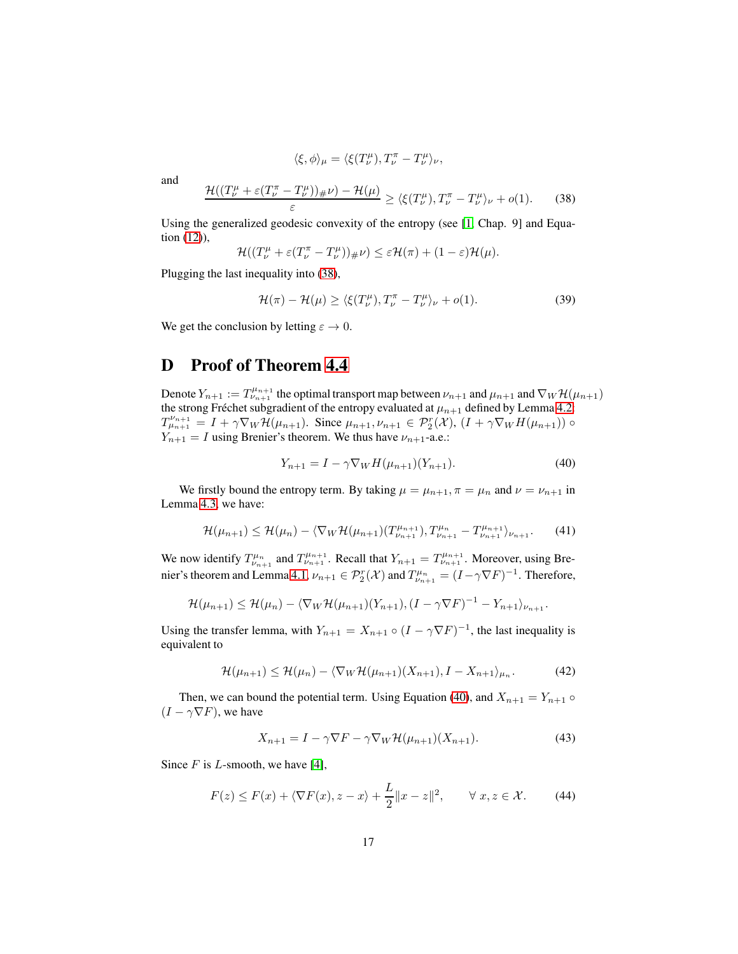$$
\langle \xi, \phi \rangle_{\mu} = \langle \xi(T^{\mu}_{\nu}), T^{\pi}_{\nu} - T^{\mu}_{\nu} \rangle_{\nu},
$$

and

<span id="page-16-0"></span>
$$
\frac{\mathcal{H}((T_{\nu}^{\mu}+\varepsilon(T_{\nu}^{\pi}-T_{\nu}^{\mu}))_{\#}\nu)-\mathcal{H}(\mu)}{\varepsilon} \geq \langle \xi(T_{\nu}^{\mu}), T_{\nu}^{\pi}-T_{\nu}^{\mu} \rangle_{\nu}+o(1). \tag{38}
$$

Using the generalized geodesic convexity of the entropy (see [\[1,](#page-12-1) Chap. 9] and Equation [\(12\)](#page-5-0)),

$$
\mathcal{H}((T^{\mu}_{\nu}+\varepsilon(T^{\pi}_{\nu}-T^{\mu}_{\nu}))_{\#}\nu)\leq\varepsilon\mathcal{H}(\pi)+(1-\varepsilon)\mathcal{H}(\mu).
$$

Plugging the last inequality into [\(38\)](#page-16-0),

$$
\mathcal{H}(\pi) - \mathcal{H}(\mu) \ge \langle \xi(T_{\nu}^{\mu}), T_{\nu}^{\pi} - T_{\nu}^{\mu} \rangle_{\nu} + o(1). \tag{39}
$$

We get the conclusion by letting  $\varepsilon \to 0$ .

## D Proof of Theorem [4.4](#page-8-3)

Denote  $Y_{n+1} := T^{\mu_{n+1}}_{\nu_{n+1}}$  the optimal transport map between  $\nu_{n+1}$  and  $\mu_{n+1}$  and  $\nabla_W \mathcal{H}(\mu_{n+1})$ the strong Fréchet subgradient of the entropy evaluated at  $\mu_{n+1}$  defined by Lemma [4.2:](#page-8-1)  $T_{\mu_{n+1}}^{\nu_{n+1}} = I + \gamma \nabla_W \mathcal{H}(\mu_{n+1}).$  Since  $\mu_{n+1}, \nu_{n+1} \in \mathcal{P}_2^r(\mathcal{X}), (I + \gamma \nabla_W H(\mu_{n+1}))$  $Y_{n+1} = I$  using Brenier's theorem. We thus have  $\nu_{n+1}$ -a.e.:

<span id="page-16-1"></span>
$$
Y_{n+1} = I - \gamma \nabla_W H(\mu_{n+1})(Y_{n+1}).
$$
\n(40)

We firstly bound the entropy term. By taking  $\mu = \mu_{n+1}, \pi = \mu_n$  and  $\nu = \nu_{n+1}$  in Lemma [4.3,](#page-8-2) we have:

$$
\mathcal{H}(\mu_{n+1}) \leq \mathcal{H}(\mu_n) - \langle \nabla_W \mathcal{H}(\mu_{n+1}) (T_{\nu_{n+1}}^{\mu_{n+1}}), T_{\nu_{n+1}}^{\mu_n} - T_{\nu_{n+1}}^{\mu_{n+1}} \rangle_{\nu_{n+1}}.
$$
(41)

We now identify  $T^{\mu_n}_{\nu_{n+1}}$  and  $T^{\mu_{n+1}}_{\nu_{n+1}}$ . Recall that  $Y_{n+1} = T^{\mu_{n+1}}_{\nu_{n+1}}$ . Moreover, using Bre-nier's theorem and Lemma [4.1,](#page-8-0)  $\nu_{n+1} \in \mathcal{P}_2^r(\mathcal{X})$  and  $T^{\mu_n}_{\nu_{n+1}} = (I - \gamma \nabla F)^{-1}$ . Therefore,

$$
\mathcal{H}(\mu_{n+1}) \leq \mathcal{H}(\mu_n) - \langle \nabla_W \mathcal{H}(\mu_{n+1})(Y_{n+1}), (I - \gamma \nabla F)^{-1} - Y_{n+1} \rangle_{\nu_{n+1}}.
$$

Using the transfer lemma, with  $Y_{n+1} = X_{n+1} \circ (I - \gamma \nabla F)^{-1}$ , the last inequality is equivalent to

<span id="page-16-3"></span>
$$
\mathcal{H}(\mu_{n+1}) \leq \mathcal{H}(\mu_n) - \langle \nabla_W \mathcal{H}(\mu_{n+1})(X_{n+1}), I - X_{n+1} \rangle_{\mu_n}.
$$
 (42)

Then, we can bound the potential term. Using Equation [\(40\)](#page-16-1), and  $X_{n+1} = Y_{n+1} \circ$  $(I - \gamma \nabla F)$ , we have

<span id="page-16-2"></span>
$$
X_{n+1} = I - \gamma \nabla F - \gamma \nabla_W \mathcal{H}(\mu_{n+1})(X_{n+1}). \tag{43}
$$

Since  $F$  is  $L$ -smooth, we have [\[4\]](#page-12-3),

$$
F(z) \le F(x) + \langle \nabla F(x), z - x \rangle + \frac{L}{2} ||x - z||^2, \qquad \forall \ x, z \in \mathcal{X}.
$$
 (44)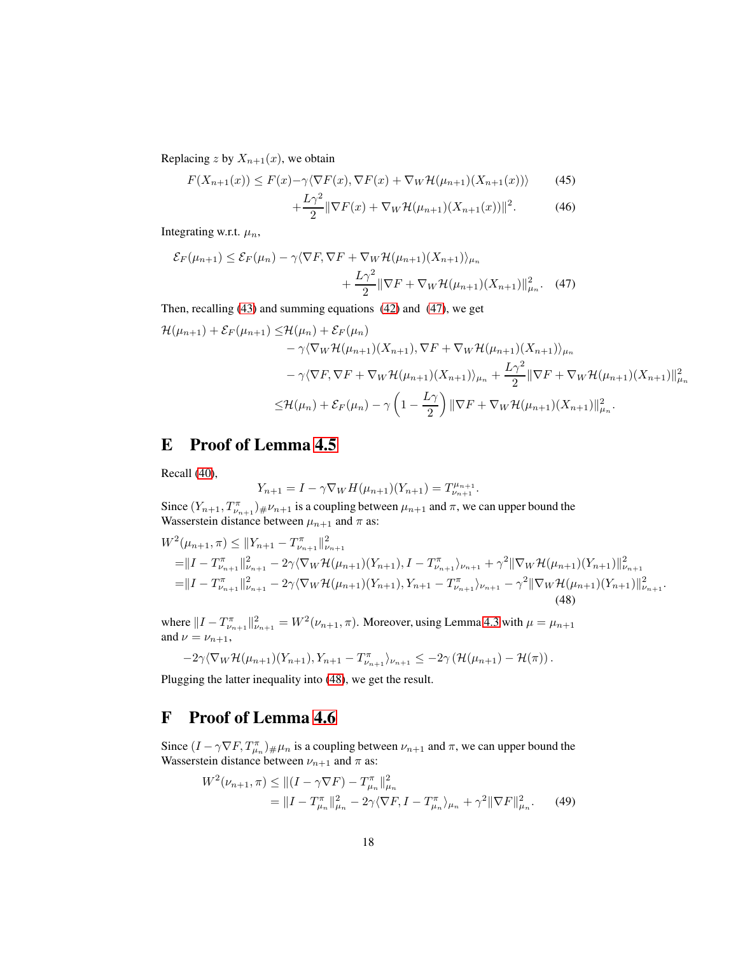Replacing z by  $X_{n+1}(x)$ , we obtain

$$
F(X_{n+1}(x)) \le F(x) - \gamma \langle \nabla F(x), \nabla F(x) + \nabla_W \mathcal{H}(\mu_{n+1})(X_{n+1}(x)) \rangle \tag{45}
$$

<span id="page-17-0"></span>
$$
+\frac{L\gamma^2}{2}\|\nabla F(x)+\nabla_W\mathcal{H}(\mu_{n+1})(X_{n+1}(x))\|^2.
$$
 (46)

Integrating w.r.t.  $\mu_n$ ,

$$
\mathcal{E}_F(\mu_{n+1}) \le \mathcal{E}_F(\mu_n) - \gamma \langle \nabla F, \nabla F + \nabla_W \mathcal{H}(\mu_{n+1})(X_{n+1}) \rangle_{\mu_n} + \frac{L\gamma^2}{2} \|\nabla F + \nabla_W \mathcal{H}(\mu_{n+1})(X_{n+1})\|_{\mu_n}^2. \tag{47}
$$

Then, recalling [\(43\)](#page-16-2) and summing equations [\(42\)](#page-16-3) and [\(47\)](#page-17-0), we get

$$
\mathcal{H}(\mu_{n+1}) + \mathcal{E}_F(\mu_{n+1}) \leq \mathcal{H}(\mu_n) + \mathcal{E}_F(\mu_n)
$$
  
\n
$$
- \gamma \langle \nabla_W \mathcal{H}(\mu_{n+1})(X_{n+1}), \nabla F + \nabla_W \mathcal{H}(\mu_{n+1})(X_{n+1}) \rangle_{\mu_n}
$$
  
\n
$$
- \gamma \langle \nabla F, \nabla F + \nabla_W \mathcal{H}(\mu_{n+1})(X_{n+1}) \rangle_{\mu_n} + \frac{L\gamma^2}{2} \|\nabla F + \nabla_W \mathcal{H}(\mu_{n+1})(X_{n+1})\|_{\mu_n}^2
$$
  
\n
$$
\leq \mathcal{H}(\mu_n) + \mathcal{E}_F(\mu_n) - \gamma \left(1 - \frac{L\gamma}{2}\right) \|\nabla F + \nabla_W \mathcal{H}(\mu_{n+1})(X_{n+1})\|_{\mu_n}^2.
$$

### E Proof of Lemma [4.5](#page-9-2)

Recall [\(40\)](#page-16-1),

<span id="page-17-1"></span>
$$
Y_{n+1} = I - \gamma \nabla_W H(\mu_{n+1})(Y_{n+1}) = T_{\nu_{n+1}}^{\mu_{n+1}}.
$$

Since  $(Y_{n+1}, T_{\nu_{n+1}}^{\pi}) \# \nu_{n+1}$  is a coupling between  $\mu_{n+1}$  and  $\pi$ , we can upper bound the Wasserstein distance between  $\mu_{n+1}$  and  $\pi$  as:

$$
W^{2}(\mu_{n+1}, \pi) \leq ||Y_{n+1} - T^{\pi}_{\nu_{n+1}}||^{2}_{\nu_{n+1}}= ||I - T^{\pi}_{\nu_{n+1}}||^{2}_{\nu_{n+1}} - 2\gamma \langle \nabla_{W} \mathcal{H}(\mu_{n+1})(Y_{n+1}), I - T^{\pi}_{\nu_{n+1}} \rangle_{\nu_{n+1}} + \gamma^{2} ||\nabla_{W} \mathcal{H}(\mu_{n+1})(Y_{n+1})||^{2}_{\nu_{n+1}}= ||I - T^{\pi}_{\nu_{n+1}}||^{2}_{\nu_{n+1}} - 2\gamma \langle \nabla_{W} \mathcal{H}(\mu_{n+1})(Y_{n+1}), Y_{n+1} - T^{\pi}_{\nu_{n+1}} \rangle_{\nu_{n+1}} - \gamma^{2} ||\nabla_{W} \mathcal{H}(\mu_{n+1})(Y_{n+1})||^{2}_{\nu_{n+1}}.
$$
\n(48)

where  $||I - T_{\nu_{n+1}}^{\pi}||_{\nu_{n+1}}^2 = W^2(\nu_{n+1}, \pi)$ . Moreover, using Lemma [4.3](#page-8-2) with  $\mu = \mu_{n+1}$ and  $\nu = \nu_{n+1}$ ,

$$
-2\gamma \langle \nabla_W \mathcal{H}(\mu_{n+1})(Y_{n+1}), Y_{n+1} - T_{\nu_{n+1}}^{\pi} \rangle_{\nu_{n+1}} \leq -2\gamma \left( \mathcal{H}(\mu_{n+1}) - \mathcal{H}(\pi) \right).
$$

Plugging the latter inequality into [\(48\)](#page-17-1), we get the result.

# F Proof of Lemma [4.6](#page-9-3)

Since  $(I - \gamma \nabla F, T_{\mu_n}^{\pi})_{\#} \mu_n$  is a coupling between  $\nu_{n+1}$  and  $\pi$ , we can upper bound the Wasserstein distance between  $\nu_{n+1}$  and  $\pi$  as:

<span id="page-17-2"></span>
$$
W^{2}(\nu_{n+1}, \pi) \leq ||(I - \gamma \nabla F) - T_{\mu_{n}}^{\pi}||_{\mu_{n}}^{2}
$$
  
=  $||I - T_{\mu_{n}}^{\pi}||_{\mu_{n}}^{2} - 2\gamma \langle \nabla F, I - T_{\mu_{n}}^{\pi} \rangle_{\mu_{n}} + \gamma^{2} ||\nabla F||_{\mu_{n}}^{2}.$  (49)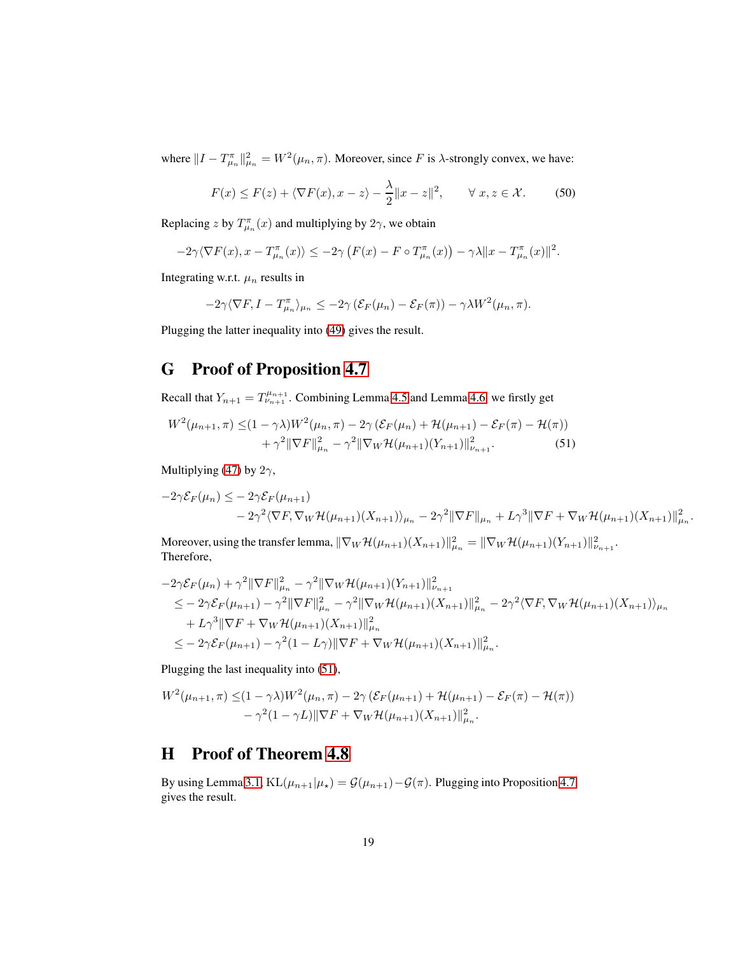where  $||I - T_{\mu_n}^{\pi}||_{\mu_n}^2 = W^2(\mu_n, \pi)$ . Moreover, since F is  $\lambda$ -strongly convex, we have:

$$
F(x) \le F(z) + \langle \nabla F(x), x - z \rangle - \frac{\lambda}{2} ||x - z||^2, \qquad \forall \ x, z \in \mathcal{X}.
$$
 (50)

Replacing z by  $T^{\pi}_{\mu_n}(x)$  and multiplying by  $2\gamma$ , we obtain

$$
-2\gamma\langle \nabla F(x), x-T_{\mu_n}^{\pi}(x)\rangle \leq -2\gamma\left(F(x)-F\circ T_{\mu_n}^{\pi}(x)\right)-\gamma\lambda \|x-T_{\mu_n}^{\pi}(x)\|^2.
$$

Integrating w.r.t.  $\mu_n$  results in

<span id="page-18-0"></span>
$$
-2\gamma\langle \nabla F, I - T_{\mu_n}^{\pi} \rangle_{\mu_n} \le -2\gamma \left( \mathcal{E}_F(\mu_n) - \mathcal{E}_F(\pi) \right) - \gamma \lambda W^2(\mu_n, \pi).
$$

Plugging the latter inequality into [\(49\)](#page-17-2) gives the result.

# G Proof of Proposition [4.7](#page-9-0)

Recall that  $Y_{n+1} = T^{\mu_{n+1}}_{\nu_{n+1}}$ . Combining Lemma [4.5](#page-9-2) and Lemma [4.6,](#page-9-3) we firstly get

$$
W^{2}(\mu_{n+1}, \pi) \leq (1 - \gamma \lambda) W^{2}(\mu_{n}, \pi) - 2\gamma \left( \mathcal{E}_{F}(\mu_{n}) + \mathcal{H}(\mu_{n+1}) - \mathcal{E}_{F}(\pi) - \mathcal{H}(\pi) \right) + \gamma^{2} \|\nabla F\|_{\mu_{n}}^{2} - \gamma^{2} \|\nabla_{W}\mathcal{H}(\mu_{n+1})(Y_{n+1})\|_{\nu_{n+1}}^{2}.
$$
 (51)

Multiplying [\(47\)](#page-17-0) by  $2\gamma$ ,

$$
-2\gamma \mathcal{E}_F(\mu_n) \leq -2\gamma \mathcal{E}_F(\mu_{n+1})
$$
  

$$
-2\gamma^2 \langle \nabla F, \nabla_W \mathcal{H}(\mu_{n+1})(X_{n+1}) \rangle_{\mu_n} - 2\gamma^2 \|\nabla F\|_{\mu_n} + L\gamma^3 \|\nabla F + \nabla_W \mathcal{H}(\mu_{n+1})(X_{n+1})\|_{\mu_n}^2.
$$

Moreover, using the transfer lemma,  $\|\nabla_W \mathcal{H}(\mu_{n+1})(X_{n+1})\|_{\mu_n}^2 = \|\nabla_W \mathcal{H}(\mu_{n+1})(Y_{n+1})\|_{\nu_{n+1}}^2$ . Therefore,

$$
-2\gamma \mathcal{E}_F(\mu_n) + \gamma^2 \|\nabla F\|_{\mu_n}^2 - \gamma^2 \|\nabla_W \mathcal{H}(\mu_{n+1})(Y_{n+1})\|_{\nu_{n+1}}^2
$$
  
\n
$$
\leq -2\gamma \mathcal{E}_F(\mu_{n+1}) - \gamma^2 \|\nabla F\|_{\mu_n}^2 - \gamma^2 \|\nabla_W \mathcal{H}(\mu_{n+1})(X_{n+1})\|_{\mu_n}^2 - 2\gamma^2 \langle \nabla F, \nabla_W \mathcal{H}(\mu_{n+1})(X_{n+1}) \rangle_{\mu_n}
$$
  
\n
$$
+ L\gamma^3 \|\nabla F + \nabla_W \mathcal{H}(\mu_{n+1})(X_{n+1})\|_{\mu_n}^2
$$
  
\n
$$
\leq -2\gamma \mathcal{E}_F(\mu_{n+1}) - \gamma^2 (1 - L\gamma) \|\nabla F + \nabla_W \mathcal{H}(\mu_{n+1})(X_{n+1})\|_{\mu_n}^2.
$$

Plugging the last inequality into [\(51\)](#page-18-0),

$$
W^{2}(\mu_{n+1}, \pi) \leq (1 - \gamma \lambda) W^{2}(\mu_{n}, \pi) - 2\gamma \left( \mathcal{E}_{F}(\mu_{n+1}) + \mathcal{H}(\mu_{n+1}) - \mathcal{E}_{F}(\pi) - \mathcal{H}(\pi) \right) - \gamma^{2} (1 - \gamma L) \|\nabla F + \nabla_{W} \mathcal{H}(\mu_{n+1}) (X_{n+1})\|_{\mu_{n}}^{2}.
$$

# H Proof of Theorem [4.8](#page-9-1)

By using Lemma [3.1,](#page-6-1) KL $(\mu_{n+1}|\mu_{\star}) = \mathcal{G}(\mu_{n+1}) - \mathcal{G}(\pi)$ . Plugging into Proposition [4.7](#page-9-0) gives the result.